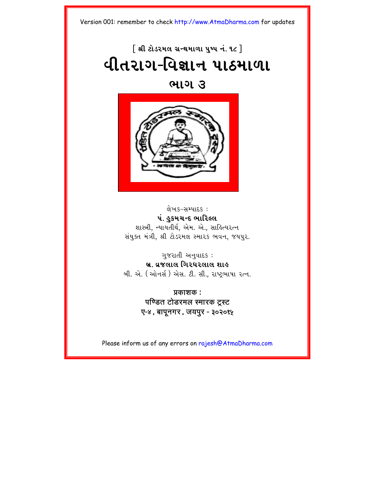# $\lceil$  શ્રી ટોડરમલ ગ્રન્થમાળા ૫ષ્પ નં. ૧૮  $\rceil$ **યીતરાગ-વિજ્ઞાન પાઠમાળા**

### <u>ભાગ ૩</u>



લેખક-સમ્પાદક : પં. હુકમચન્દ ભારિલ્લ શાસ્ત્રી, ન્યાયતીર્થ, એમ. એ., સાહિત્યરત્ન સંયુક્ત મંત્રી, શ્રી ટોડરમલ સ્મારક ભવન, જયપુર.

ગુજરાતી અનુવાદ $s$  : **b/. v/jlal igr\rlal xah** બી. એ. (ઓનર્સ) એસ. ટી. સી., રાષ્ટ્રભાષા રત્ન.

> **Ýkaxk :**  पण्डित टोडरमल स्मारक टस्ट **O-4, bapUngr, jypur - 302015**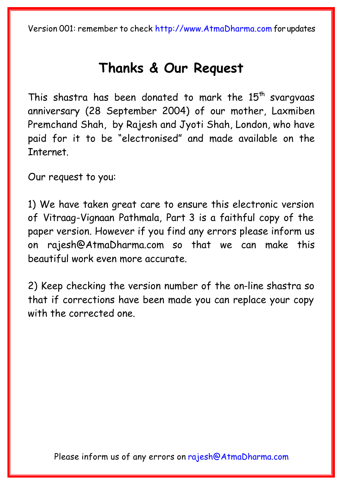# **[Thanks & Our Reque](mailto:rajesh@AtmaDharma.com)st**

This shastra has been donated to mark the  $15<sup>th</sup>$  svargvaas anniversary (28 September 2004) of our mother, Laxmiben Premchand Shah, by Rajesh and Jyoti Shah, London, who have paid for it to be "electronised" and made available on the Internet.

Our request to you:

1) We have taken great care to ensure this electronic version of Vitraag-Vignaan Pathmala, Part 3 is a faithful copy of the paper version. However if you find any errors please inform us on rajesh@AtmaDharma.com so that we can make this beautiful work even more accurate.

2) Keep checking the version number of the on-line shastra so that if corrections have been made you can replace your copy with the corrected one.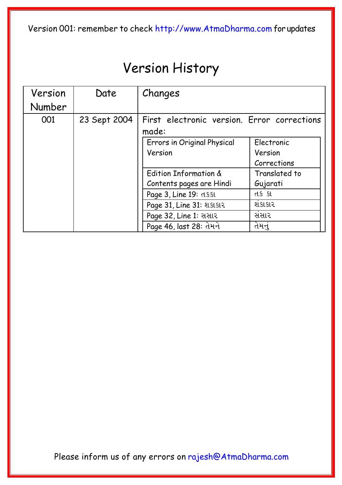# Version History

| Version | Date         | Changes                                              |                       |  |
|---------|--------------|------------------------------------------------------|-----------------------|--|
| Number  |              |                                                      |                       |  |
| 001     | 23 Sept 2004 | First electronic version. Error corrections<br>made: |                       |  |
|         |              | Errors in Original Physical<br>Version               | Electronic<br>Version |  |
|         |              |                                                      | Corrections           |  |
|         |              | Edition Information &                                | Translated to         |  |
|         |              | Contents pages are Hindi                             | Gujarati              |  |
|         |              | Page 3, Line 19: d. 851                              | તકકા                  |  |
|         |              | Page 31, Line 31: શકાકાર                             | શંકાકાર               |  |
|         |              | Page 32, Line 1: સસાર                                | સંસાર                 |  |
|         |              | Page 46, last 28: તેમને                              | તેમનુ                 |  |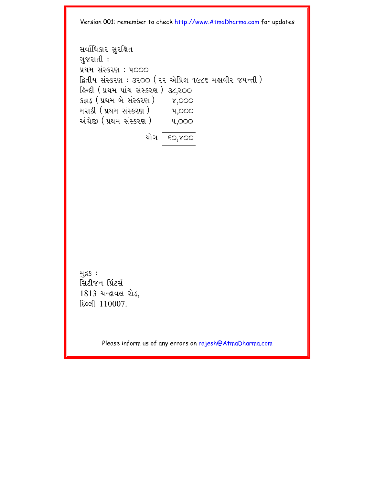svaRi\kar suriÙt gujratI : Ý=m sHSkr` : p000 iätIy sHSkr` : 3200 (22 AeiÝl 1986 mhavIr jyNtI) ihNdI (Ý=m paHc sHSkr`) 38,200 kþD³ (Ý=m be sHSkr`) 4,000 mra@I (Ý=m sHSkr`) p,000 AHg/eÒ (Ý=m sHSkr`) p,000 yaeg 60,400

મુદ્રક: સિટીજન પ્રિંટર્સ  $1813$  ચન્દ્રાવલ રોડ,  $E$  $e$  $e$  $110007$ .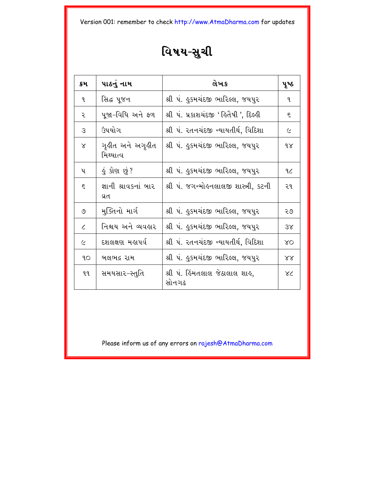# વિષય-સુચી

| ક્રમ         | પાઠનું નામ                    | લેખક                                     | પૂષ્ઠ      |
|--------------|-------------------------------|------------------------------------------|------------|
| $\mathbf{q}$ | સિદ્ધ પૂજન                    | શ્રી પં. હુકમચંદજી ભારિલ્લ, જયપુર        | L          |
| ૨            | પૂજા–વિધિ અને ફળ              | શ્રી પં. પ્રકાશચંદજી ' હિતૈષી ', દિલ્હી  | ξ          |
| 3            | ઉપયોગ                         | શ્રી પં. રતનચંદજી ન્યાયતીર્થ, વિદિશા     | $\epsilon$ |
| $\chi$       | ગૃહીત અને અગૃહીત<br>મિથ્યાત્વ | શ્રી પં. હુકમચંદજી ભારિલ્લ, જયપુર        | 9x         |
| પ            | <u>ડું કોણ છું</u> ?          | શ્રી પં. ઙુકમચંદજી ભારિલ્લ, જયપુર        | 9.6        |
| ξ            | જ્ઞાની શ્રાવકનાં બાર<br>વ્રત  | શ્રી પં. જગન્મોહનલાલજી શાસ્ત્રી, કટની    | ૨૧         |
| ৩            | મુક્તિનો માર્ગ                | શ્રી પં. કુકમચંદજી ભારિલ્લ, જયપુર        | २७         |
| $\epsilon$   | નિશ્ચય અને વ્યવહાર            | શ્રી પં. ઙુકમચંદજી ભારિલ્લ, જયપુર        | 3x         |
| $\epsilon$   | દશલક્ષણ મહાપર્વ               | શ્રી પં. રતનચંદજી ન્યાયતીર્થ, વિદિશા     | XO         |
| 9O           | બલભદ્ર રામ                    | શ્રી પં. ઙુકમચંદજી ભારિલ્લ, જયપુર        | X X        |
| 9.9.         | સમયસાર-સ્તુતિ                 | શ્રી પં.  હિંમતલાલ જેઠાલાલ શાહ,<br>સોનગઢ | XC         |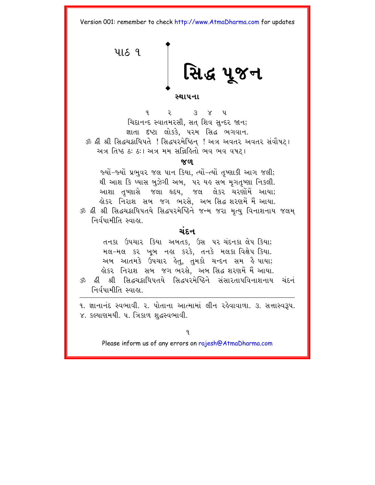<span id="page-5-0"></span>4189 સિદ્ધ પૂજન સ્થાપના

 $\mathbf{q}$  $\overline{z}$   $\overline{z}$   $\overline{z}$   $\overline{z}$   $\overline{z}$   $\overline{z}$   $\overline{z}$   $\overline{z}$   $\overline{z}$   $\overline{z}$   $\overline{z}$   $\overline{z}$   $\overline{z}$   $\overline{z}$   $\overline{z}$   $\overline{z}$   $\overline{z}$   $\overline{z}$   $\overline{z}$   $\overline{z}$   $\overline{z}$   $\overline{z}$   $\overline{z}$   $\overline{z}$   $\overline{$ ચિદાનન્દ સ્વાતમરસી, સત શિવ સુન્દર જાન; જ્ઞાતા દષ્ટા લોકકે, પરમ સિદ્ધ ભગવાન. ૐ શ્રી શ્રી સિદ્ધચક્રાધિપતે !સિદ્ધપરમેષ્ઠિન !અત્ર અવતર અવતર સંવૌષટ। અત્ર તિષ્ઠ ઠઃ ઠઃ। અત્ર મમ સન્નિકિતો ભવ ભવ વષટા

 $\propto$ 

જ્યોં−જ્યોં પ્રભવર જલ પાન કિયા. ત્યોં−ત્યોં તપ્શાકી આગ જલી; થી આશ કિ પ્યાસ બુઝેગી અબ, પર યહ સબ મૃગતૃષ્ણા નિકલી. આશા તૃષ્ણાસે જલા હૃદય. જલ લેકર ચરણોમેં આયા<del>.</del> લોકર નિરાશ સબ જગ ભરસે. અબ*સિદ્ધ* શરણમેં મૈં આયા. ૐ ક્રી શ્રી સિદ્ધચક્રાધિપતયે સિદ્ધપરમેષ્ઠિને જન્મ જરા મૃત્યુ વિનાશનાય જલમ નિર્વપામીતિ સ્વાહ્યા

### ચંદન

તનકા ઉપચાર કિયા અબતક, ઉસ પર ચંદનકા લેપ કિયા: મલ-મલ કર ખૂબ નહા કરકે, તનકે મલકા વિક્ષેપ કિયા. અબ આતમકે ઉપચાર હેતુ, તુમકો ચન્દન સમ હૈ પાયા; લોકર નિરાશ સબ જગુભરસે. અબુસિદ્ધ શરણમેં મૈં આયા. ૐ ક્રી શ્રી સિદ્ધચક્રાધિપતયે સિદ્ધપુરમેષ્ઠિને સંસારતાપવિનાશનાય ચંદનં

નિર્વપામીતિ સ્વાહ્ય

૧. જ્ઞાનાનંદ સ્વભાવી. ૨. પોતાના આત્મામાં લીન રહેવાવાળા. ૩. સત્તાસ્વરૂપ. ૪. કલ્યાણમયી. ૫. ત્રિકાળ શુદ્ધસ્વભાવી.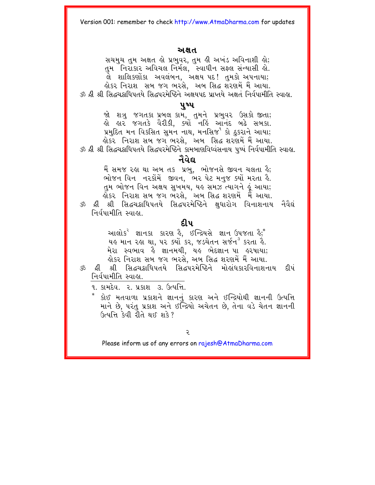### અક્ષત

સચમુચ તુમ અક્ષત હો પ્રભુવર, તુમ હી અખંડ અવિનાશી હો; તમ ઁનિરાકાર અવિચલ નિર્મલ, સ્વાધીન સફ્લ સન્યાસી હો. લે શાલિકર્ણોકા અવલંબન, અક્ષય પદ! તુમકો અપનાયા; લોકર નિરાશ સબ જગ ભરસે. અબ સિદ્ધ શરેણમેં મૈં આયા. રું ઢી શ્રી સિદ્ધચક્રધિપતયે સિદ્ધપરમેષ્ઠિને અક્ષયપદ પ્રાપ્તયે અક્ષતં નિર્વપામીતિ સ્વાહ્ય

### ૫ષ્પ

જો શત્રુ જગતકા પ્રબલ કામ, તુમને પ્રભુવર ઉસકો જીતા; હો હાર જગતકે વૈરીકી, ક્યોં નહિં આનંદ બઢે સબકા. પ્રમુદિત મન વિકસિત સુમન નાથ, મનસિજ<sup>૧</sup> કો ઠકરાને આયા; લોકર. નિરાશ સબ જગ ભરસે.. અબ. સિદ્ધ શરણમેં મૈં આયા. ૐ શ્રી શ્રી સિદ્ધચક્રાધિપતયે સિદ્ધપરમેષ્ઠિને કામબાણવિધ્વંસનાય પષ્પં નિર્વપામીતિ સ્વાલ. નૈવેદ્ય

મૈં સમજ રહ્ય થા અબ તક પ્રભુ, ભોજનસે જીવન ચલતા હૈ; ભોજન વિન નરકોંમેં જીવન, ભેર પેટ મનજ ક્યોં મરતા કૈ. તમ ભોજન વિન અક્ષય સુખમય, યહુ સમઝ ત્યાગને હું આયા; ર્લોકર નિરાશ સબ જગ ભેરસે, <sup>ં</sup>અબ સિદ્ધ શરણમેં મેં આયા.

ૐ ક્રી શ્રી સિદ્ધચક્રાધિપતયે સિદ્ધપરમેષ્ઠિને ક્ષધારોગ વિનાશનાય નૈવૈદ્યં નિર્વપામીતિ સ્વાહ્ય

### திய

આલોક<sup>ર</sup> જ્ઞાનકા કારણ કે. ઈન્દ્રિયસે જ્ઞાન ઉપજતા કે;<sup>\*</sup> યહ માન રહા થા, ૫૨ ક્યો<sup>ં</sup>કર, જડચેતન સર્જન<sup>3</sup> કરતા હૈ. મેરા સ્વભાવ હૈ જ્ઞાનમયી, યહ ભેદજ્ઞાન પા હરષાયા; લોકર નિરાશ સબ જગ ભરસે. અબ સિદ્ધ શરણમેં મૈં આયા.

ૐ ક્રી શ્રી સિદ્ધચક્રાધિપતયે સિદ્ધપરમેષ્ઠિને મોહાંધકારવિનાશનાય ट्री पं નિર્વપામીતિ સ્વાહ્ય.

૧. કામદેવ. ૨. પ્રકાશ ૩. ઉત્પત્તિ.

કોઈ મતવાળા પ્રકાશને જ્ઞાનનું કારણ અને ઈન્દ્રિયોથી જ્ઞાનની ઉત્પત્તિ માને છે, પરંતુ પ્રકાશ અને ઈન્દ્રિયો અચેતન છે, તેના વડે ચેતન જ્ઞાનની ઉત્પત્તિ કેવી રીતે થઈ શકે?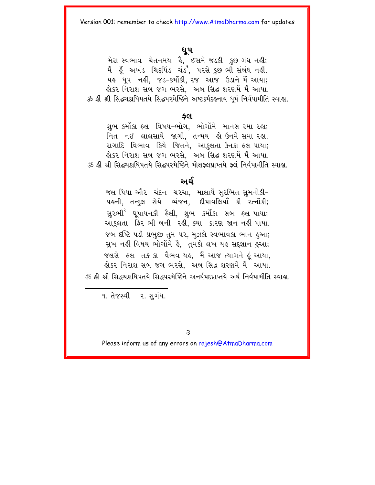### **\Up**

મેરા સ્વભાવ ચેતનમય કે, ઈસમેં જડકી કુછ ગંધ નહી; મૈં હૂઁ અખંડ ચિદ્દપિંડ ચંડ<sup>૧</sup>, પરસે કુછ ભી સંબંધ નહીં. યહ ધૂપ નહીં, જડ-કર્મોકી, રજ આજ ઉડાને મૈં આયા; ક્રોકર નિરાશ સબ જગ ભરસે, અબ સિદ્ધ શરણમેં મૈં આયા. ૐ ક્રી શ્રી સિદ્ધચક્રાધિપતયે સિદ્ધપરમેષ્ઠિને અષ્ટકર્મદઙનાય ધપં નિર્વપામીતિ સ્વાહ્ય.

### **fl**

શભ કર્મીકા ફલ વિષય–ભોગ. ભોગોંમે માનસ રમા રહા; નિત નઈ લાલસાયેં જાગી, તન્મય હો ઉનમેં સમા રહા. રાગાદિ વિભાવ કિયે જિતને, આકલતા ઉનકા ફલ પાયા; ક્રોકર નિરાશ સબ જગ ભરસે. અબ સિદ્ધ શરણમેં મૈં આયા.  $\breve{\approx}$  ઢી શ્રી સિદ્ધચક્રાધિપતયે સિદ્ધપરમેષ્ઠિને મોક્ષફ્લપ્રાપ્તયે ફ્લં નિર્વપામીતિ સ્વાહ્ય.

### <u>અર્ઘ</u>

જલ પિયા ઔર ચંદન ચરચા, માલાયેં સુરભિત સુમનોંકી‐ પહની, તન્દુલ સેયે વ્યંજન, દીપાવલિયાઁ કી રત્નોંકી; સુરભી<sup>ર</sup> ધૂપાયનકી ફૈલી, શુભ કર્મોકા સબ ફલ<sup>ા</sup>પાયા; આકલતા ફિર ભી બની રહી. ક્યા કારણ જાન નહીં પાયા. જબ દષ્ટિ ૫ડી પ્રભુજી તુમ ૫૨, મુઝકો સ્વભાવકા ભાન હુઆ; સુખ નહી વિષય ભોગોમેં હૈ, તુમકો લખ યહ સદ્જ્ઞાન હુઆ; જલસે ફ્લ તકકા વૈભવ યહુ. મૈં આજુત્યાગને હું આયા. ક્ષેકર નિરાશ સબ જગ ભરસે. -અબ સિદ્ધ શરણમેં મેં -આયા.  $\breve{\approx}$  ઢી શ્રી સિદ્ધગ્રદ્ધિપતયે સિદ્ધપરમેષ્ઠિને અનર્ધપદપ્રાપ્તયે અર્ધં નિર્વપામીતિ સ્વાહ્ય

૧. તેજસ્વી ૨. સુગંધ.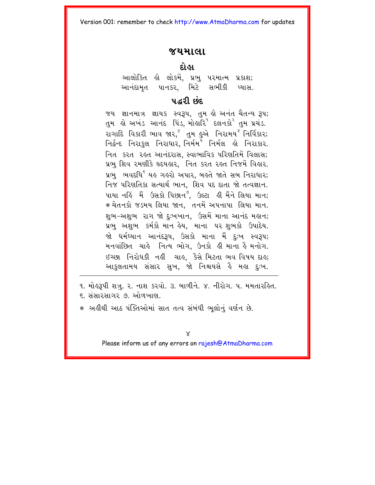### **jymala**

### **daeha**

આલોકિત હો લોકમેં, પ્રભુ પરમાત્મ પ્રકાશ; આનંદામૃત પાનકર, મિટે સભીકી પ્યાસ.

### **pair** 105.*u*

જય જ્ઞાનમાત્ર જ્ઞાયક સ્વરૂપ, તુમ હો અનંત ચૈતન્ય રૂપ; તમ હો અખંડ આનંદ પિંડ, મોહારિ $^{\rm a}$  દલનકો $^{\rm c}$  તમ પ્રચંડ. રાગાદિ વિકારી ભાવ જાર,<sup>૩</sup> તુમ હુએ નિરામય<sup>૪</sup> નિર્વિકાર; inäRNd inrakul inra\ar, inmRmp inmRl hae inrakar. <u>નિત કરત રહત આનંદરાસ, સ્વાભાવિક પરિણતિમેં વિલાસ;</u> પ્રભ શિવ રમણીકે હૃદયહાર, નિત કરત રહત નિજમેં વિહાર. પ્રભુ ભવદધિ<sup>૬</sup> યહ ગહરો અપાર, બહતે જાતે સબ નિરાધાર; નિજ પરિણતિકા સત્યાર્થ ભાન, શિવ પદ દાતા જો તત્વજ્ઞાન. પાયા નહિં મૈં ઉસકો પિછાન<sup>૭</sup>, ઉલ્ટા હી મૈંને લિયા માન; ∗ચેતનકો જડમય લિયા જાન, તનમેં અપનાપા લિયા માન. શભ-અશભ રાગ જો દઃખખાન, ઉસમેં માના આનંદ મહાન; પ્રભુ અશુભ કર્મકો માન હેય, માના પર શુભકો ઉપાદેય. જો ધર્મધ્યાન આનંદરૂપ, ઉસકો માના મૈં <u>દુઃખ સ્વરૂ</u>પ; મનવાંછિત ચાહે નિત્ય ભોગ, ઉનકો હી માના હૈ મનોગ. ઈચ્છા નિરોધકી નહીં ચાહ, કૈસે મિટતા ભવ વિષય દાહ; આકુલતામય સંસાર સુખ, જો નિશ્ચયસે હૈ મહા દુઃખ.

૧. મોલ્રુપી શત્રુ. ૨. નાશ કરવો. ૩. બાળીને. ૪. નીરોગ. ૫. મમતારહિત.  $\epsilon$  - સંસારસાગર ૭ ઓળખાણ

∗ અહીંથી આઠ પંક્તિઓમાં સાત તત્વ સંબંધી ભલોનું વર્ણન છે.

 $\times$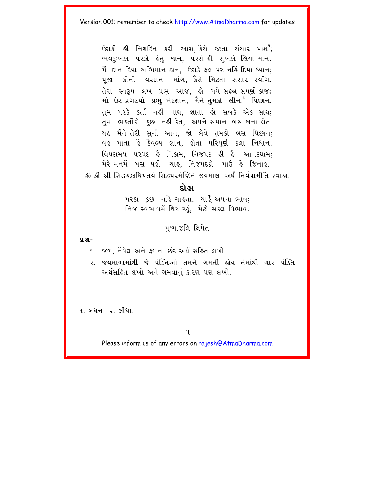ઉસકી હી નિશદિન કરી આશ. કૈસે કટતા સંસાર પાશ<sup>9</sup>; ભવદુઃખકા પરકો હેતુ જાન, પરસે હી સુખકો લિયા માન. મૈં દાન દિયા અભિમાન ઠાન. ઉસકે ફ્લ ૫૨ નહિં દિયા ધ્યાન: ૫જા કીની વરદાન માંગ. કૈસે મિટતા સંસાર સ્વાઁગ. તેરા સ્વરૂપ લખ પ્રભુ આજ. હો ગયે સફ્લ સંપૂર્ણ કાજ; મો ઉર પ્રગટયો પ્રભુ ભેદજ્ઞાન, મૈંને તમકો લીના<sup>ર</sup> પિછાન. તુમ પરકે કર્તા નહીં નાથ, જ્ઞાતા હો સબકે એક સાથ; તુમ ભક્તોંકો કુછ નહીં દેત, અપને સમાન બસ બના લેત. યહ મૈંને તેરી સુની આન, જો લેવે તુમકો બસ પિછાન; વહ પાતા હૈ કૈવલ્ય જ્ઞાન, હોતા પરિપર્ણ કલા નિધાન. વિપદામય પરપદ કે નિકામ. નિજપદ ક્ષી કે આનંદધામ: મેરે મનમેં બસ યહી. ચાહુ. નિજપદકો. પાઉં હે જિનાહુ. રું ઢી શ્રી સિદ્ધચક્રાધિપતયે સિદ્ધપરમેષ્ઠિને જયમાલા અર્ઘનિર્વપામીતિ સ્વાહ્ય.

### દોહા

૫૨કા કછ નહિં ચાહતા, ચાહુઁ અ૫ના ભાવ; નિજ સ્વભાવમેં થિર રહું, મેટો સકલ વિભાવ.

પુષ્પાંજલિ ક્ષિપેત

### $9.8 -$

૧. જળ, નૈવેદ્ય અને ફળના છંદ અર્થ સહિત લખો.

૨. જયમાળામાંથી જે પંક્તિઓ તમને ગમતી લોય તેમાંથી ચાર પંક્તિ અર્થસહિત લખો અને ગમવાનું કારણ પણ લખો.

**૧ બંધન ૨ લી**ધા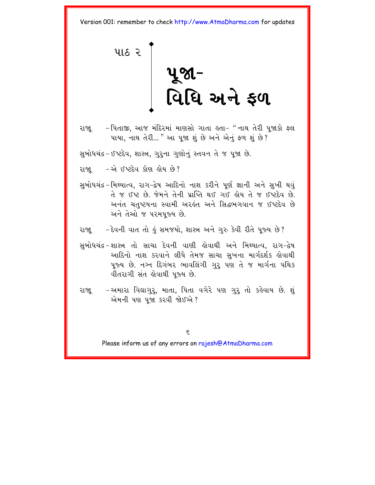<span id="page-10-0"></span>પાઠ ર પૂજા−<br>વિધિ અને ફળ

રાજા – પિતાજી, આજ મંદિરમાં માણસો ગાતા હતા- " નાથ તેરી પજાકો ફ્લ પાયા, નાથ તેરી... " આ પજા શું છે અને એનું ફળ શું છે?

સુબોધચંદ્ર – ઈષ્ટદેવ, શાસ્ત્ર, ગુરૂના ગુણોનું સ્તવન તે જ પૂજા છે.

રાજા – એ ઈષ્ટદેવ કોણ લોય છે?

- સુબોધચંદ્ર−મિથ્યાત્વ, રાગ−દ્વેષ આદિનો નાશ કરીને પૂર્ણ જ્ઞાની અને સુખી થવું તે જ ઈષ્ટ છે. જેમને તેની પ્રાપ્તિ થઈ ગઈ હોય તે જ ઈષ્ટદેવ છે. અનંત ચતુષ્ટયના સ્વામી અરહંત અને સિદ્ધભગવાન જ ઈષ્ટદેવ છે અને તેઓ જ પરમપુજ્ય છે.
- દેવની વાત તો હું સમજયો, શાસ્ત્ર અને ગુરુ કેવી રીતે પૂજ્ય છે? રાજા
- સુબોધચંદ્ર શાસ્ત્ર તો સાચા દેવની વાણી હોવાથી અને મિથ્યાત્વ, રાગ–દ્વેષ આદિનો નાશ કરવાને લીધે તેમજ સાચા સુખના માર્ગદર્શક હોવાથી ૫જ્ય છે. નગ્ન દિગંબર ભાવલિંગી ગર પણ તે જ માર્ગના પથિક વીતરાગી સંત લેવાથી ૫જ્ય છે.
- રાજ્ય –અમારા વિદ્યાગુરૂ, માતા, પિતા વગેરે પણ ગુરૂ તો કહેવાય છે. શું એમની પણ પૂજા કરવી જોઈએ?

 $\epsilon$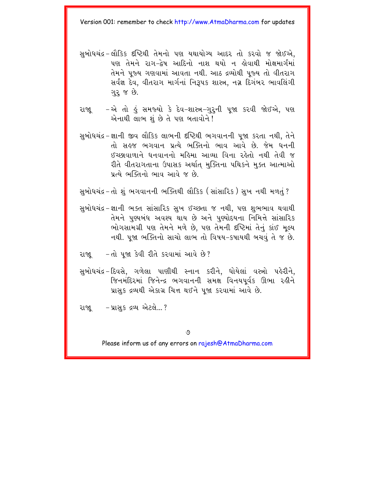- સુબોધચંદ્ર-લૌકિક દૃષ્ટિથી તેમનો પણ યથાયોગ્ય આદર તો કરવો જ જોઈએ. પણ તેમને રાગ–દેષ આદિનો નાશ થયો ન ોવાથી મોક્ષમાર્ગમાં તેમને પુજ્ય ગણવામાં આવતા નથી. આઠ દ્રવ્યોથી પુજ્ય તો વીતરાગ સર્વજ્ઞ દેવ, વીતરાગ માર્ગનાં નિરૂપક શાસ્ત્ર, નગ્ન દિગંબર ભાવલિંગી ગુરૂ જ છે.
- રાજ્ય એ તો હું સમજ્યો કે દેવ–શાસ્ત્ર–ગુરૂની પૂજા કરવી જોઈએ, પણ એનાથી લાભ શું છે તે પણ બતાવોને!
- સુબોધચંદ્ર-જ્ઞાની જીવ લૌકિક લાભની દષ્ટિથી ભગવાનની પુજા કરતા નથી, તેને તો સહજ ભગવાન પ્રત્યે ભક્તિનો ભાવ આવે છે. જેમ ધનની ઈચ્છાવાળાને ધનવાનનો મહિમા આવ્યા વિના રહેતો નથી તેવી જ રીતે વીતરાગતાના ઉપાસક અર્થાત મુક્તિના પથિકને મુક્ત આત્માઓ પ્રત્યે ભક્તિનો ભાવ આવે જ છે.
- સુબોધચંદ્ર−તો શું ભગવાનની ભક્તિથી લૌકિક (સાંસારિક ) સુખ નથી મળતું ?
- સુબોધચંદ્ર-જ્ઞાની ભક્ત સાંસારિક સુખ ઈચ્છતા જ નથી, પણ શુભભાવ થવાથી તેમને પુણ્યબંધ અવશ્ય થાય છે અને પુણ્યોદયના નિમિત્તે સાંસારિક ભોગસામગ્રી પણ તેમને મળે છે. પણ તેમની દષ્ટિમાં તેનું કાંઈ મલ્ય નથી. ૫જા ભક્તિનો સાચો લાભ તો વિષય-કષાયથી બચવં તે જ છે.
- રાજા તો પજા કેવી રીતે કરવામાં આવે છે?
- સુબોધચંદ્ર-દિવસે, ગળેલા પાણીથી સ્નાન કરીને, ધોયેલાં વસ્ત્રો પહેરીને, જિનમંદિરમાં જિનેન્દ્ર ભગવાનની સમક્ષ વિનયપર્વક ઊભા રહીને પ્રાસક દ્રવ્યથી એકાગ્ર ચિત્ત થઈને પજા કરવામાં આવે છે.
- રાજા પ્રાસક દ્રવ્ય એટલે...?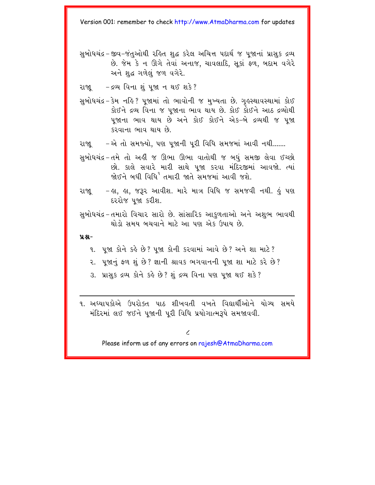- સુબોધચંદ્ર-જીવ-જંતુઓથી રહિત શુદ્ધ કરેલ અચિત્ત પદાર્થ જ પુજાનાં પ્રાસક દ્રવ્ય છે. જેમ કે ન ઊગે તેવાં અનાજ, ચાવલાદિ, સૂકાં ફળ, બદામ વગેરે અને શહ ગળેલું જળ વગેરે.
- રાજ્ય દ્રવ્ય વિના શું પૂજા ન થઈ શકે?
- સબોધચંદ્ર કેમ નહિ ? પજામાં તો ભાવોની જ મખ્યતા છે. ગહસ્થાવસ્થામાં કોઈ કોઈને દ્રવ્ય વિના જ પજાના ભાવ થાય છે. કોઈ કોઈને આઠ દ્રવ્યોથી ૫જાના ભાવ થાય છે અને કોઈ કોઈને એક-બે દ્રવ્યથી જ ૫જા કરવાના ભાવ થાય છે
- રાજા\_\_\_ -એ તો સમજ્યો, પણ પૂજાની પૂરી વિધિ સમજમાં આવી નથી.......
- સુબોધચંદ્ર-તમે તો અહીં જ ઊભા ઊભા વાતોથી જ બધું સમજી લેવા ઈચ્છો છો. કાલે સવારે મારી સાથે પુજા કરવા મંદિરજીમાં આવજો. ત્યાં જોઈને બધી વિધિ<sup>ર</sup> તમારી જાતે સમજમાં આવી જશે.
- લા. લા. જરૂર આવીશ. મારે માત્ર વિધિ જ સમજવી નથી. હું પણ રાજા દરરોજ પૂજા કરીશ.
- સબોધચંદ્ર−તમારો વિચાર સારો છે. સાંસારિક આકળતાઓ અને અશભ ભાવથી થોડો સમય બચવાને માટે આ પણ એક ઉપાય છે.

#### $9.8 -$

- ૧. પજા કોને કહે છે? પજા કોની કરવામાં આવે છે? અને શા માટે?
- ૨. ૫જાનું ફળ શું છે? જ્ઞાની શ્રાવક ભગવાનની ૫જા શા માટે કરે છે?
- ૩. પ્રાસુક દ્રવ્ય કોને કહે છે? શું દ્રવ્ય વિના પણ પૂજા થઈ શકે?
- ૧. અઘ્યાપકોએ ઉપરોક્ત પાઠ શીખવતી વખતે વિદ્યાર્થીઓને યોગ્ય સમયે મંદિરમાં લઈ જઈને પુજાની પુરી વિધિ પ્રયોગાત્મરૂપે સમજાવવી.

t.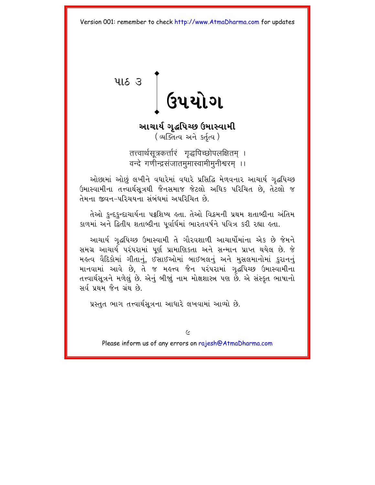<span id="page-13-0"></span>**416 3** [ GUEROL

આચાર્ય ગુદ્ધપિચ્છ ઉમાસ્વામી (अजित्य अने sर्तृत्य)

तत्त्वार्थसूत्रकर्त्तारं गृद्धपिच्छोपलक्षितम् । वन्दे गणीन्द्रसंजातममास्वामीमूनीश्वरम् ।।

ઓછામાં ઓછું લખીને વધારેમાં વધારે પ્રસિદ્ધિ મેળવનાર આચાર્ય ગદ્ધપિચ્છ ઉમાસ્વામીના તત્ત્વાર્થસૂત્રથી જૈનસમાજ જેટલો અધિક પરિચિત છે, તેટલો જ તેમના જીવન–પરિચયના સંબંધમાં અપરિચિત છે.

તેઓ કુન્દકુન્દાચાર્યના પટ્ટશિષ્ય હતા. તેઓ વિક્રમની પ્રથમ શતાબ્દીના અંતિમ કાળમાં અને દ્વિતીય શતાબ્દીના પર્વાર્ધમાં ભારતવર્ષને પવિત્ર કરી રહ્યા હતા.

આચાર્ય ગદ્ધપિચ્છ ઉમાસ્વામી તે ગૌરવશાળી આચાર્યોમાંના એક છે જેમને સમગ્ર આચાર્ય પરંપરામાં પર્ણ પ્રામાણિકતા અને સન્માન પ્રાપ્ત થયેલ છે. જે મહત્વ વૈદિકોમાં ગીતાનું, ઈસાઈઓમાં બાઈબલનું અને મુસલમાનોમાં કરાનનું માનવામાં આવે છે. તે જ મહત્ત્વ જૈન પરંપરામાં ગદ્ધપિચ્છ ઉમાસ્વામીના તત્ત્વાર્થસૂત્રને મળેલું છે. એનું બીજાું નામ મોક્ષશાસ્ત્ર પણ છે. એ સંસ્કૃત ભાષાનો સર્વ પથમ જૈન ગંથ છે

પ્રસ્તુત ભાગ તત્ત્વાર્થસૂત્રના આધારે લખવામાં આવ્યો છે.

 $\epsilon$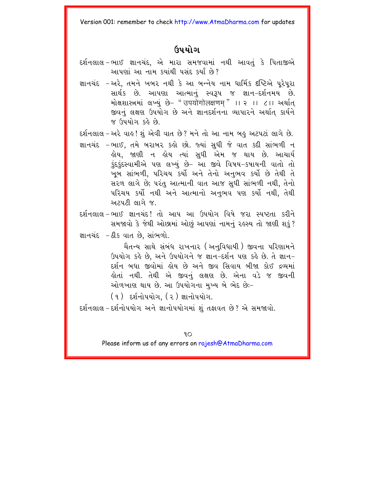### <u> ઉપયોગ</u>

- દર્શનલાલ−ભાઈ જ્ઞાનચંદ, એ મારા સમજવામાં નથી આવતું કે પિતાજીએ આપણાં આ નામ કયાંથી પસંદ કર્યાં છે?
- જ્ઞાનચંદ –અરે, તમને ખબર નથી કે આ બન્નેય નામ ધાર્મિક દષ્ટિએ પૂરેપૂરા સાર્થક છે. આપણા આત્માનું સ્વરૂપ જ જ્ઞાન-દર્શનમય છે. मोक्षशास्त्रमां લખ્યું છે- "उपयोगोलक्षणम्" ।। २ ।। ८।। अर्थात् જીવનું લક્ષણ ઉપયોગ છે અને જ્ઞાનદર્શનના વ્યાપારને અર્થાત કાર્યને જ ઉપયોગ કહે છે

દર્શનલાલ – અરે વાઙ! શું એવી વાત છે? મને તો આ નામ બઙુ અટપટાં લાગે છે.

જ્ઞાનચંદ –ભાઈ. તમે બરાબર કહો છો. જ્યાં સધી જે વાત કદી સાંભળી ન .<br>લોય. જાણી ન લોય ત્યાં સુધી એમ જ થાય છે. આચાર્ય કંદકંદસ્વામીએ પણ લખ્યું છે- આ જીવે વિષય-કૃષાયની વાતો તો ખૂબ સાંભળી, પરિચય કર્યો અને તેનો અનુભવ કર્યો છે તેથી તે સરળ લાગે છે: પરંત આત્માની વાત આજ સધી સાંભળી નથી. તેનો પરિચય કર્યો નથી અને આત્માનો અનભવ પણ કર્યો નથી. તેથી અટપટી લાગે જ

દર્શનલાલ-ભાઈ જ્ઞાનચંદ! તો આપ આ ઉપયોગ વિષે જરા સ્પષ્ટતા કરીને સમજાવો કે જેથી ઓછામાં ઓછં આપણાં નામનં રહસ્ય તો જાણી શકં? જ્ઞાનચંદ - ઠીક વાત છે, સાંભળો.

> ચૈતન્ય સાથે સંબંધ રાખનાર (અનવિધાયી ) જીવના પરિણામને ઉપયોગ કહે છે. અને ઉપયોગને જ જ્ઞાન-દર્શન પણ કહે છે. તે જ્ઞાન-દર્શન બધા જીવોમાં લોય છે અને જીવ સિવાય બીજા કોઈ દ્રવ્યમાં <u>હોતાં નથી. તેથી એ જીવનું લક્ષણ છે. એના વડે જ જીવની</u> ઓળખાણ થાય છે. આ ઉપયોગના મખ્ય બે ભેદ છેઃ-

(૧) દર્શનોપયોગ. (૨) જ્ઞાનોપયોગ.

દર્શનલાલ-દર્શનોપયોગ અને જ્ઞાનોપયોગમાં શું તફાવત છે? એ સમજાવો.

 $9O$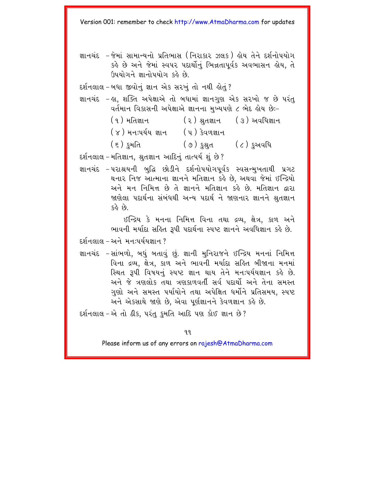જ્ઞાનચંદ – જેમાં સામાન્યનો પ્રતિભાસ (નિરાકાર ઝલક ) હોય તેને દર્શનોપયોગ કહે છે અને જેમાં સ્વપર પદાર્થોનું ભિન્નતાપૂર્વક અવભાસન હોય, તે ઉપયોગને જ્ઞાનોપયોગ કહે છે.

દર્શનલાલ-બધા જીવોનું જ્ઞાન એક સરખું તો નથી હોતું?

- જ્ઞાનચંદ હા. શક્તિ અપેક્ષાએ તો બધામાં જ્ઞાનગણ એક સરખો જ છે પરંત વર્તમાન વિકાસની અપેક્ષાએ જ્ઞાનના મખ્યપણે ૮ ભેદ હોય છેઃ-
	- ( ૧ ) મ<u>તિજ્ઞા</u>ન (૨) શ્રુતજ્ઞાન (૩) અવધિજ્ઞાન (૪) મન:પર્યય જ્ઞાન (૫) કેવળજ્ઞાન ( ૭ ) કશ્રત ( ૮ ) કુઅવધિ ( ૬ ) *કુ*મતિ

દર્શનલાલ – મતિજ્ઞાન, શ્રુતજ્ઞાન આદિનું તાત્પર્ય શું છે?

જ્ઞાનચંદ –૫રાશ્રયની બુદ્ધિ છોડીને દર્શનોપયોગપર્વક સ્વસન્મુખતાથી પ્રગટ થનાર નિજ આત્માના જ્ઞાનને મતિજ્ઞાન કહે છે. અથવા જેમાં ઈન્દ્રિયો અને મન નિમિત્ત છે તે જ્ઞાનને મતિજ્ઞાન કહે છે. મતિજ્ઞાન દ્વારા જાણેલા પદાર્થના સંબંધથી અન્ય પદાર્થને જાણનાર જ્ઞાનને શ્રતજ્ઞાન 62 ER

> ઈન્દ્રિય કે મનના નિમિત્ત વિના તથા દ્રવ્ય, ક્ષેત્ર, કાળ અને ભાવની મર્યાદા સહિત રૂપી પદાર્થના સ્પષ્ટ જ્ઞાનને અવધિજ્ઞાન કહે છે.

દર્શનલાલ – અને મન:પર્યયજ્ઞાન ?

જ્ઞાનચંદ –સાંભળો, બધું બતાવું છું. જ્ઞાની મુનિરાજને ઈન્દ્રિય મનનાં નિમિત્ત વિના દ્રવ્ય, ક્ષેત્ર, કાળ અને ભાવની મર્યાદા સહિત બીજાના મનમાં સ્થિત રૂપી વિષયનું સ્પષ્ટ જ્ઞાન થાય તેને મનઃપર્યયજ્ઞાન કહે છે. અને જે ત્રણલોક તથા ત્રણકાળવર્તી સર્વ પદાર્થો અને તેના સમસ્ત ગુણો અને સમસ્ત પર્યાયોને તથા અપેક્ષિત ધર્મોને પ્રતિસમય, સ્પષ્ટ અને એકસાથે જાણે છે, એવા પૂર્ણજ્ઞાનને કેવળજ્ઞાન કહે છે.

દર્શનલાલ-એ તો ઠીક, પરંતુ કુમતિ આદિ પણ કોઈ જ્ઞાન છે?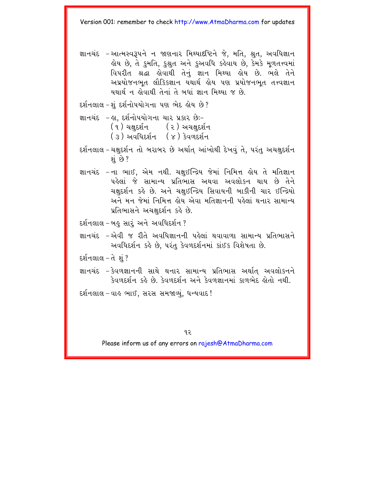જ્ઞાનચંદ –આત્મસ્વરૂપને ન જાણનાર મિથ્યાદષ્ટિને જે. મતિ. શ્રત. અવધિજ્ઞાન ड़ोय છે, તે કુમતિ, કુશ્નુત અને કુઅવધિ કર્હવાય છે, કેમકે મૂળતત્ત્વમાં વિપરીત શ્રદ્ધા હોવાથી તેનું જ્ઞાન મિથ્યા હોય છે. ભલે તેને અપ્રયોજનભત લૌકિકજ્ઞાન યથાર્થ હોય પણ પ્રયોજનભૂત તત્ત્વજ્ઞાન યથાર્થ ન હોવાથી તેનાં તે બધાં જ્ઞાન મિથ્યા જ છે.

દર્શનલાલ – શંદર્શનોપયોગના પણ ભેદ હોય છે?

- જ્ઞાનચંદ હા. દર્શનોપયોગના ચાર પ્રકાર છેઃ– (१) यक्षદर्शन (२) અચક્ષદર્શન (३) अवसिदर्शन (४) કેવળદર્શન
- દર્શનલાલ-ચક્ષુદર્શન તો બરાબર છે અર્થાત્ આંખોથી દેખવું તે, પરંતુ અચક્ષુદર્શન શું છે ?
- જ્ઞાનચંદ -ના ભાઈ, એમ નથી. ચક્ષુઈન્દ્રિય જેમાં નિમિત્ત હોય તે મતિજ્ઞાન પહેલાં જે સામાન્ય પ્રતિભાસ અથવા અવલોકન થાય છે તેને ચક્ષદર્શન કહે છે. અને ચક્ષઈન્દ્રિય સિવાયની બાકીની ચાર ઈન્દ્રિયો અને મન જેમાં નિમિત્ત લોય એવા મતિજ્ઞાનની પહેલાં થનાર સામાન્ય પ્રતિભાસને અચક્ષદર્શન કહે છે.
- દર્શનલાલ-બહુ સારં અને અવધિદર્શન ?
- જ્ઞાનચંદ –એવી જ રીતે અવધિજ્ઞાનની પહેલાં થવાવાળા સામાન્ય પ્રતિભાસને અવધિદર્શન કહે છે. પરંતુ કેવળદર્શનમાં કાંઈક વિશેષતા છે.

દર્શનલાલ−તે શું ?

- જ્ઞાનચંદ કેવળજ્ઞાનની સાથે થનાર સામાન્ય પ્રતિભાસ અર્થાત અવલોકનને કેવળદર્શન કહે છે. કેવળદર્શન અને કેવળજ્ઞાનમાં કાળભેદ હોતો નથી.
- દર્શનલાલ-વાહુ ભાઈ, સરસ સમજાવ્યું, ધન્યવાદ!

 $92$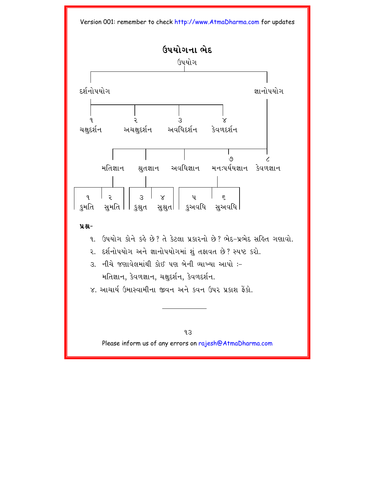

### **ÝÆ-**

- 1. Guયોગ કોને કર્ક છે? તે કેટલા પ્રકારનો છે? ભેદ-પ્રભેદ સર્કિત ગણાવો.
- ૨. દર્શનોપયોગ અને જ્ઞાનોપયોગમાં શું તફાવત છે? સ્પષ્ટ કરો.
- $3$  નીચે જણાવેલમાંથી કોઈ પણ બેની વ્યાખ્યા આપો :– મતિજ્ઞાન, કેવળજ્ઞાન, ચક્ષુદર્શન, કેવળદર્શન.
- ૪. આચાર્ય ઉમાસ્વામીના જીવન અને કવન ઉપર પ્રકાશ કૈકો.

 $9.3$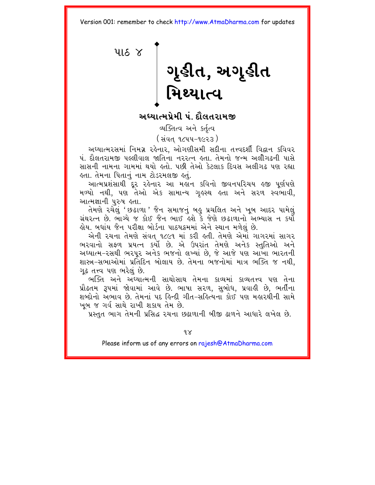<span id="page-18-0"></span>4168 ગૃહીત, અગૃહીત<br>મિથ્યાત્વ

અધ્યાત્મપ્રેમી પં. દૌલતરામજી

વ્યક્તિત્વ અને કર્તત્વ

(સંવત ૧૮૫૫-૧૯૨૩ )

અધ્યાત્મરસમાં નિમગ્ન રહેનાર. ઓગણીસમી સદીના તત્ત્વદર્શી વિદ્વાન કવિવર પં. દૌલતરામજી પલ્લીવાલ જાતિના નરરત્ન હતા. તેમનો જન્મ અલીગઢની પાસે સાસની નામના ગામમાં થયો હતો. પછી તેઓ કેટલાક દિવસ અલીગઢ પણ રહ્યા લ્તા. તેમના પિતાનું નામ ટોડરમલજી લ્તું.

આત્મપ્રશંસાથી દુર રહેનાર આ મર્હાન કવિનો જીવનપરિચય હજી પૂર્ણપણે મળ્યો નથી. પણ તેેઓ એક સામાન્ય ગુલ્સ્થ લ્તા અને સરળ સ્વભાવી. આત્મજ્ઞાની પરુષ હતા.

તેમણે રચેલું ' છઢાળા ' જૈન સમાજનું બહુ પ્રચલિત અને ખૂબ આદર પામેલું ગ્રંથરત્ન છે. ભાગ્યે જ કોઈ જૈન ભાઈ હશે કે જેણે છઢાળાનો અભ્યાસ ન કર્યો લોય. બધાંય જૈન પરીક્ષા બોર્ડના પાઠયક્રમમાં એને સ્થાન મળેલું છે.

એની રચના તેમણે સંવત્ ૧૮૯૧ માં કરી હતી. તેમણે એમાં ગાગરમાં સાગર ભરવાનો સફળ પ્રયત્ન કર્યો છે. એ ઉપરાંત તેમણે અનેક સ્તુતિઓ અને અઘ્યાત્મ-રસથી ભરપૂર અનેક ભજનો લખ્યાં છે, જે આજે પણ આખા ભારતની શાસ્ત્ર-સભાઓમાં પ્રતિદિન બોલાય છે. તેમના ભજનોમાં માત્ર ભક્તિ જ નથી. ગઢ તત્ત્વ પણ ભરેલં છે.

ભક્તિ અને અઘ્યાત્મની સાથોસાથ તેમના કાવ્યમાં કાવ્યતત્ત્વ પણ તેના પ્રૌઢતમ રૂપમાં જોવામાં આવે છે. ભાષા સરળ, સુબોધ, પ્રવાહી છે, ભર્તીના શબ્દોનો અભાવ છે. તેમનાં ૫દ હિન્દી ગીત-સહિત્યના કોઈ પણ મહારથીની સામે ખૂબ જ ગર્વ સાથે રાખી શકાય તેમ છે.

પ્રસ્તુત ભાગ તેમની પ્રસિદ્ધ રચના છઢાળાની બીજી ઢાળને આધારે લખેલ છે.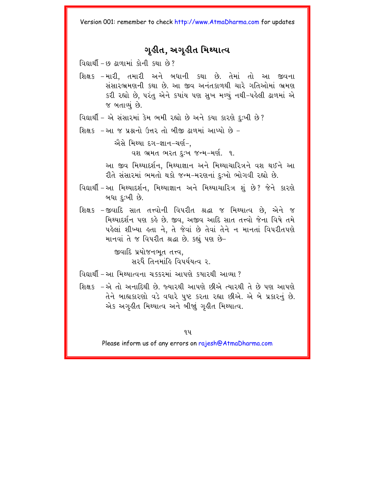### ગહીત. અગુહીત મિથ્યાત્વ

- શિક્ષક -મારી. તમારી અને બધાની કથા છે. તેમાં તો આ જીવના સંસારભ્રમણની કથા છે. આ જીવ અનંતકાળથી ચારે ગતિઓમાં ભ્રમણ કરી રહ્યો છે. પરંતુ એને કયાંય પણ સુખ મળ્યું નથી-પહેલી ઢાળમાં એ જ બતાવ્યું છે.
- વિદ્યાર્થી એ સંસારમાં કેમ ભમી રહ્યો છે અને કયા કારણે દુઃખી છે?
- શિક્ષક -આ જ પ્રશ્નનો ઉત્તર તો બીજી ઢાળમાં આપ્યો છે -

ઐસે મિથ્યા દગ−જ્ઞાન−ચર્ણ−.

વશ ભ્રમત ભરત દઃખ જન્મ−મર્ણ. ૧.

આ જીવ મિથ્યાદર્શન. મિથ્યાજ્ઞાન અને મિથ્યાચારિત્રને વશ થઈને આ રીતે સંસારમાં ભમતો થકો જન્મ-મરણનાં દઃખો ભોગવી રહ્યો છે.

- વિદ્યાર્થી આ મિથ્યાદર્શન. મિથ્યાજ્ઞાન અને મિથ્યાચારિત્ર શું છે? જેને કારણે બધા દઃખી છે.
- શિક્ષક -જીવાદિ સાત તત્ત્વોની વિપરીત શ્રદ્ધા જ મિથ્યાત્વ છે, એને જ મિથ્યાદર્શન પણ કહે છે. જીવ, અજીવ આદિ સાત તત્ત્વો જેના વિષે તમે પહેલાં શીખ્યા હતા ને, તે જેવાં છે તેવાં તેને ન માનતાં વિપરીતપણે માનવાં તે જ વિપરીત શ્રદ્ધા છે. કહ્યું પણ છે-

જીવાદિ પ્રયોજનભૂત તત્ત્વ. સરઘૈં તિનમાંઢિ વિપર્યયત્વ ૨

- વિદ્યાર્થી આ મિથ્યાત્વના ચક્કરમાં આપણે કયારથી આવ્યા ?
- શિક્ષક –એ તો અનાદિથી છે. જ્યારથી આપણે છીએ ત્યારથી તે છે પણ આપણે તેને બાહ્ય કારણો વડે વધારે પુષ્ટ કરતા રહ્યા છીએ. એ બે પ્રકારનું છે. એક અગઢીત મિથ્યાત્વ અને બીજાં ગઢીત મિથ્યાત્વ.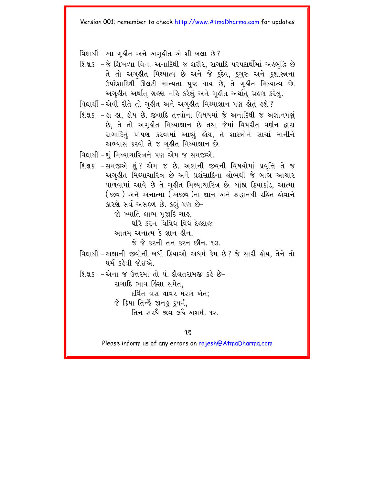વિદ્યાર્થી – આ ગૃહીત અને અગૃહીત એ શી બલા છે?

- શિક્ષક -જે શિખવ્યા વિના અનાદિથી જ શરીર. રાગાદિ પરપદાર્થોમાં અહંબુદ્ધિ છે તે તો અગૃહીત મિથ્યાત્વ છે અને જે કુદેવ, કુગુરુ અને કુશાસ્ત્રના ઉપદેશાદિથી ઊલટી માન્યતા પુષ્ટ થાય છે, તે ગૃહીત મિથ્યાત્વ છે. અગુહીત અર્થાત ગ્રહણ નહિ કરેલું અને ગુહીત અર્થાત ગ્રહણ કરેલું.
- વિદ્યાર્થી એવી રીતે તો ગઢીત અને અગઢીત મિથ્યાજ્ઞાન પણ ઢોતું ઢશે ?
- શિક્ષક –હા હા, હોય છે. જીવાદિ તત્ત્વોના વિષયમાં જે અનાદિથી જ અજ્ઞાનપણું છે, તે તો અગૃહીત મિથ્યાજ્ઞાન છે તથા જેમાં વિપરીત વર્ણન દ્વારા રાગાદિનું પોષણ કરવામાં આવ્યું હોય, તે શાસ્ત્રોને સાચાં માનીને અભ્યાસ કરવો તે જ ગૃહીત મિથ્યાજ્ઞાન છે.
- વિદ્યાર્થી શું મિથ્યાચારિત્રને પણ એમ જ સમજીએ.
- શિક્ષક -સમજીએ શું ? એમ જ છે. અજ્ઞાની જીવની વિષયોમાં પ્રવૃત્તિ તે જ અગૃહીત મિથ્યાચારિત્ર છે અને પ્રશંસાદિના લોભથી જે બાહ્ય આચાર પાળવામાં આવે છે તે ગુહીત મિથ્યાચારિત્ર છે. બાહ્ય ક્રિયાકાંડ, આત્મા ( જીવ ) અને અનાત્મા ( અજીવ )ના જ્ઞાન અને શ્રદ્ધાનથી રહિત હોવાને કારણે સર્વ અસફળ છે. કહ્યું પણ છે-

જો ખ્યાતિ લાભ પજાદિ ચાહ.

ઘરિ કરન વિવિધ વિધ દેહદાહ:

આતમ અનાત્મ કે જ્ઞાન હીન.

<u>જે જે કરની તન કરન છીન ૧૩</u>

- વિદ્યાર્થી અજ્ઞાની જીવોની બધી ક્રિયાઓ અધર્મ કેમ છે? જે સારી લોય. તેને તો ધર્મ કઢેવી જોઈએ
- શિક્ષક -એના જ ઉત્તરમાં તો પં. દૌલતરામજી કહે છે-રાગાદિ ભાવ હિંસા સમેત.

દર્વિત ત્રસ થાવર મરણ ખેત;

જે કિયા તિન્હેં જાનઙ કુધર્મ,

તિન સરઘે જીવ લહે અશર્મ ૧૨.

 $95$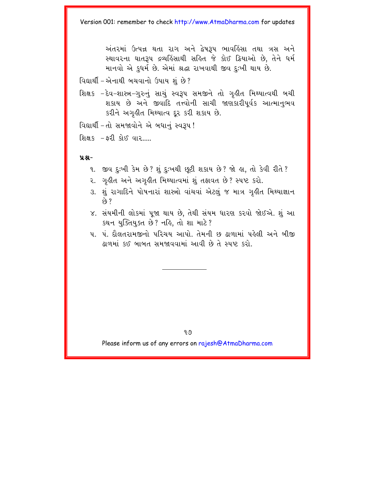અંતરમાં ઉત્પન્ન થતા રાગ અને દ્વેષરૂપ ભાવલ્રિંસા તથા ત્રસ અને સ્થાવરના ઘાતરૂપ દ્રવ્યકિંસાથી સક્તિ જે કોઈ ક્રિયાઓ છે. તેને ધર્મ માનવો એ કધર્મ છે. એમાં શ્રદ્ધા રાખવાથી જીવ દઃખી થાય છે.

વિદ્યાર્થી – એનાથી બચવાનો ઉપાય શું છે?

શિક્ષક −દેવ−શાસ્ત્ર−ગુરુનું સાચું સ્વરૂપ સમજીને તો ગૃહીત મિથ્યાત્વથી બચી શકાય છે અને જીવાદિ તત્ત્વોની સાચી જાણકારીપૂર્વક આત્માનુભવ કરીને અગૃહીત મિથ્યાત્વ દૂર કરી શકાય છે.

વિદ્યાર્થી - તો સમજાવોને એ બધાનું સ્વરૂપ !

શિક્ષક  $-52$  કોઈ વાર....

 $9.8 -$ 

- ૧. જીવ દઃખી કેમ છે? શું દુઃખથી છુટી શકાય છે? જો હા, તો કેવી રીતે?
- ૨. ગઢીત અને અગઢીત મિથ્યાત્વમાં શું તફાવત છે? સ્પષ્ટ કરો.
- ૩. શું રાગાદિને પોષનારાં શાસ્ત્રો વાંચવાં એટલું જ માત્ર ગઢીત મિથ્યાજ્ઞાન  $60.7$
- ૪. સંયમીની લોકમાં પૂજા થાય છે, તેથી સંયમ ધારણ કરવો જોઈએ. શું આ કથન યુક્તિયુક્ત છે? નહિ, તો શા માટે?
- ૫. પં. દૌલતરામજીનો પરિચય આપો. તેમની છ ઢાળામાં પહેલી અને બીજી ઢાળમાં કઈ બાબત સમજાવવામાં આવી છે તે સ્પષ્ટ કરો.

9.9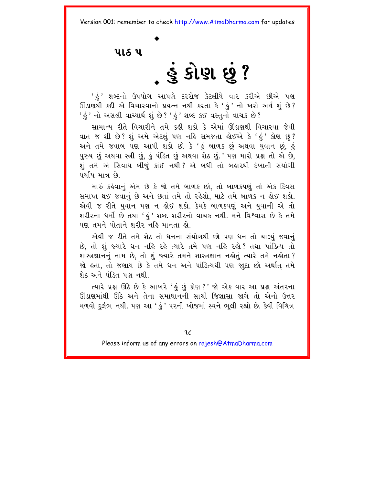<span id="page-22-0"></span>us u |<br>S SI & ?

' હું ' શબ્દનો ઉપયોગ આપણે દરરોજ કેટલીયે વાર કરીએ છીએ પણ ઊંડાણથી કદી એ વિચારવાનો પ્રયત્ન નથી કરતા કે 'હું' નો ખરો અર્થ શું છે? ' હું ' નો અસલી વાચ્યાર્થ શું છે ? ' હું ' શબ્દ કઈ વસ્તનો વાચક છે ?

સામાન્ય રીતે વિચારીને તમે કહી શકો કે એમાં ઊંડાણથી વિચારવા જેવી વાત જ શી છે? શું અમે એટલું પણ નહિ સમજતા હોઈએ કે 'હું' કોણ છું? અને તમે જવાબ પણ આપી શકો છો કે 'હું બાળક છું અથવા યુવાન છું, હું પુરુષ છું અથવા સ્ત્રી છું, કું પંડિત છું અથવા શેઠ છું.' પણ મારો પ્રશ્ન તો એ છે. શં તમે એ સિવાય બીજં કાંઈ નથી ? એ બધી તો બહારથી દેખાતી સંયોગી પર્યાય માત્ર છે.

મારું કહેવાનું એમ છે કે જો તમે બાળક છો. તો બાળકપણું તો એક દિવસ સમાપ્ત થઈ જવાનં છે અને છતાં તમે તો રહેશો. માટે તમે બાળક ન હોઈ શકો. એવી જ રીતે યવાન પણ ન લોઈ શકો. કેમકે બાળકપણ અને યવાની એ તો શરીરના ધર્મો છે તથા 'કું' શબ્દ શરીરનો વાચક નથી. મને વિશ્વાસ છે કે તમે पણ तमने पोताने शरी२ नर्डि मानता डो

એવી જ રીતે તમે શેઠ તો ધનના સંયોગથી છો પણ ધન તો ચાલ્યું જવાનું છે. તો શું જ્યારે ધન નહિ રહે ત્યારે તમે પણ નહિ રહો? તથા પાંડિત્ય તો શાસ્ત્રજ્ઞાનનું નામ છે. તો શું જ્યારે તમને શાસ્ત્રજ્ઞાન નહોતું ત્યારે તમે નહોતા ? જો હતા, તો જણાય છે કે તમે ધન અને પાંડિત્યથી પણ જાુદા છો અર્થાત તમે શેઠ અને પંડિત પણ નથી.

ત્યારે પ્રશ્ન ઊંઠે છે કે આખરે ' કું છું કોણ ?' જો એક વાર આ પ્રશ્ન અંતરના ઊંડાણમાંથી ઊંઠે અને તેના સમાધાનની સાચી જિજ્ઞાસા જાગે તો એનો ઉત્તર મળવો દુર્લભ નથી. પણ આ ' હું ' પરની ખોજમાં સ્વને ભુલી રહ્યો છે. કેવી વિચિત્ર

 $9<sub>6</sub>$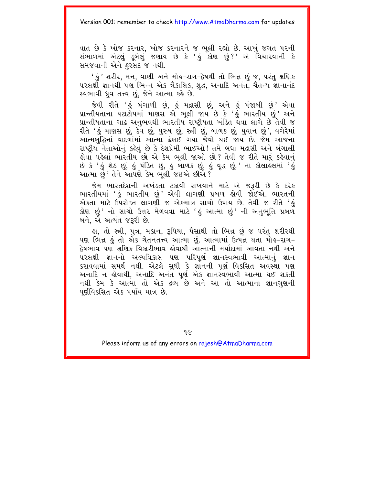વાત છે કે ખોજ કરનાર, ખોજ કરનારને જ ભૂલી રહ્યો છે. આખું જગત પરની સંભાળમાં એટલું ડુબેલું જણાય છે કે 'હું કોણ છું?' એ વિચારવાની કે સમજવાની એને ફરસેદ જ નથી.

' હું ' શરીર, મન, વાણી અને મોહ–રાગ–દ્વેષથી તો ભિન્ન છું જ, પરંતુ ક્ષણિક ૫રલર્ક્ષી જ્ઞાનથી પણ ભિન્ન એક ત્રૈકાલિક, શુદ્ધ, અનાદિ અનંત, ચૈતન્ય જ્ઞાનાનંદ સ્વભાવી ધ્રવ તત્ત્વ છું. જેને આત્મા કહે છે.

જેવી રીતે 'હું બંગાળી છું, હું મદ્રાસી છું, અને હું પંજાબી છું' એવા<br>પ્રાન્તીયતાના ઘટાટોપમાં માણસ એ ભૂલી જાય છે કે 'હું ભારતીય છું' અને પ્રાન્તીયતાના ગાઢ અનુભવથી ભારતીય રાષ્ટીયતા ખંડિત થવા લાગે છે તેવી જ રીતે 'હું માણસ છું, દેવ છું, પુરુષ છું, સ્ત્રી છું, બાળક છું, યુવાન છું', વગેરેમાં આત્મબક્વિનાં વાદળામાં આત્માં ઢંકાઈ ગયા જેવો થઈ જાય છે. જેમ આજના રાષ્ટ્રીય નેતાઓનું કહેવું છે કે દેશપ્રેમી ભાઈઓ ! તમે બધા મદ્રાસી અને બંગાલી હોવા પહેલાં ભારતીય છો એ કેમ ભૂલી જાઓ છો? તેવી જ રીતે મારૂં કહેવાનું છે કે 'હું શેઠ છું, હું પંડિત છું, હું બાળક છું, હું વૃદ્ધ છું, ' ના કોલાહલમાં 'હું આત્મા છું ' તેને આપણે કેમ ભુલી જઈએ છીએ ?

જેમ ભારતદેશની અખંડતા ટકાવી રાખવાને માટે એ જરૂરી છે કે દરેક ભારતીયમાં 'કું ભારતીય છું' એવી લાગણી પ્રબળ ક્રોવી જોઈએ. ભારતની એકતા માટે ઉપરોક્ત લાગણી જ એકમાત્ર સાચો ઉપાય છે. તેવી જ રીતે 'હં કોણ છું ' નો સાચો ઉત્તર મેળવવા માટે 'ઙું આત્મા છું ' ની અનુભુતિ પ્રબળ<sup>ૈ</sup> બને. એ અત્યંત જરૂરી છે.

લ, તો સ્ત્રી, પુત્ર, મકાન, રૂપિયા, પૈસાથી તો ભિન્ન છું જ પરંતુ શરીરથી પણ ભિન્ન કું તો એક ચેતનતત્ત્વ આત્મા છું. આત્મામાં ઉત્પન્ન થતા મોક-રાગ− <u>દેષભાવ પણ ક્ષણિક વિકારીભાવ હોવાથી આત્માની મર્યાદામાં આવતા નથી અને</u> પરલક્ષી જ્ઞાનનો અલ્પવિકાસ પણ પરિપર્ણ જ્ઞાનસ્વભાવી આત્માનું જ્ઞાન કરાવવામાં સમર્થ નથી. એટલે સુધી કે જ્ઞોનની પૂર્ણ વિકસિત અવસ્થા પણ અનાદિ ન હોવાથી, અનાદિ અનંત પૂર્ણ એક જ્ઞાનસ્વભાવી આત્મા થઈ શકતી નથી કેમ કે આત્મા તો એક દ્રવ્ય છે અને આ તો આત્માના જ્ઞાનગણની પર્ણવિકસિત એક પર્યાય માત્ર છે.

9C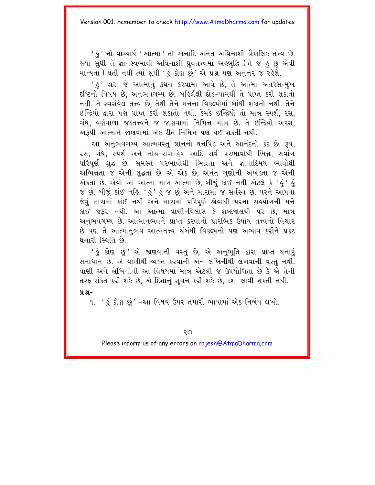' કું ' નો વાચ્યાર્થ ' આત્મા ' તો અનાદિ અનંત અવિનાશી ત્રૈકાલિક તત્ત્વ છે. જ્યાં સુધી તે જ્ઞાનસ્વભાવી અવિનાશી ધ્રુવતત્ત્વમાં અહંબુદ્ધિ (તે જ હું છું એવી માન્યતા) થતી નથી ત્યાં સુધી 'હું કોણ છું' એ પ્રશ્ન પણ અનૃત્તર જ રહેશે.

' ડું ' દ્વારા જે આત્માનું કથન કરવામાં આવે છે. તે આત્મા અંતરસન્મુખ દંષ્ટિનો વિષય છે, અનુભવગમ્ય છે, બહિર્લક્ષી દોડ-ધામથી તે પ્રાપ્ત કરી શકાતો નથી. તે સ્વસંવેઘ તત્ત્વ છે. તેથી તેને મનના વિકલ્પોમાં બાંધી શકાતો નથી. તેને ઈન્દ્રિયો દ્વારા પણ પ્રાપ્ત કરી શકાતો નથી. કેમકે ઈન્દ્રિયો તો માત્ર સ્પર્શ, રસ, ગંધ. વર્ણવાળા જડતત્ત્વને જ જાણવામાં નિમિત્ત માત્ર છે. તે ઇન્દ્રિયો અરસ, અરૂપી આત્માને જાણવામાં એક રીતે નિમિત્ત પણ થઈ શકતી નથી.

આ અનુભવગમ્ય આત્મવસ્તુ જ્ઞાનનો ઘનપિંડ અને આનંદનો કંદ છે. રૂપ. રસ, ગંધ, સ્પર્શ અને મોલ્-રાગ-દ્વેષ આદિ સર્વ પરભાવોથી ભિન્ન, સર્વાગ પરિપૂર્ણ શુદ્ધ છે. સમસ્ત પરભાવોથી ભિન્નતા અને જ્ઞાનાદિમય ભાવોથી અભિન્નતા જ એની શુદ્ધતા છે. એ એક છે, અનંત ગુણોની અખંડતા જ એની એકતા છે. એવો આ આત્મા માત્ર આત્મા છે, બીજું કાંઈ નથી એટલે કે 'હું' હું જ છું, બીજું કાંઈ નહિ. 'હું ' હું જ છું અને મારામાં જ સર્વસ્વ છું. ૫૨ને આ૫વા જેવં મારામાં કાંઈ નથી અને મારામાં પરિપર્ણ લોવાથી પરના સહયોગની મને કાંઈ જરૂર નથી. આ આત્મા વાણી-વિલાસ કે શબ્દજાલથી પર છે. માત્ર અનભવગમ્ય છે. આત્માનભવને પ્રાપ્ત કરવાનો પ્રારંભિક ઉપાય તત્ત્વનો વિચાર છે પણ તે આત્માનભવ આત્મતત્ત્વ સંબંધી વિકલ્પનો પણ અભાવ કરીને પ્રકટ थनारी स्थिति છे.

' કં કોણ છં' એ જાણવાની વસ્ત છે. એ અનભતિ દ્વારા પ્રાપ્ત થનારં સમાધાન છે. એ વાણીથી વ્યક્ત કરવાની અને લેખિનીથી લખવાની વસ્ત નથી. વાણી અને લેખિનીની આ વિષયમાં માત્ર એટલી જ ઉપયોગિતા છે કે એ તેની તરફ સંકેત કરી શકે છે. એ દિશાનું સુચન કરી શકે છે. દશા લાવી શકતી નથી.  $9.8 -$ 

૧. 'કું કોણ છું' -આ વિષય ઉપર તમારી ભાષામાં એક નિબંધ લખો.

Οç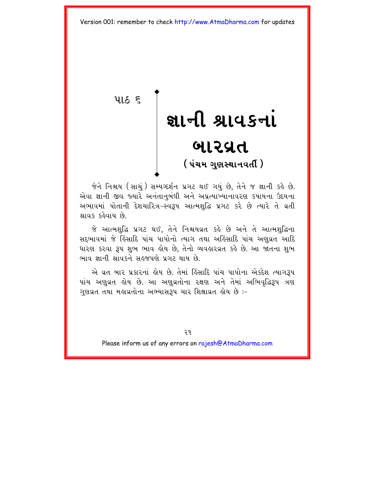<span id="page-25-0"></span> $9165$ 

# જ્ઞાની શ્રાવકનાં બારવ્રત ( પંચમ ગણસ્થાનવર્તી )

જેને નિશ્ચય (સાચં) સમ્યગ્દર્શન પ્રગટ થઈ ગયં છે. તેને જ જ્ઞાની કહે છે. એવા જ્ઞાની જીવ જ્યારે અનંતાનુબંધી અને અપ્રત્યાખ્યાનાવરણ કપાયના ઉદયના અભાવમાં પોતાની દેશચારિત્ર-સ્વરૂપ આત્મશુદ્ધિ પ્રગટ કરે છે ત્યારે તે વ્રતી શ્રાવક કઢેવાય છે.

જે આત્મશદ્ધિ પ્રગટ થઈ. તેને નિશ્ચયવ્રત કહે છે અને તે આત્મશદ્ધિના સદભાવમાં જે હિંસાદિ પાંચ પાપોનો ત્યાગ તથા અહિંસાદિ પાંચ અણુવ્રત આદિ ધારણ કરવા રૂપ શભ ભાવ હોય છે. તેનો વ્યવહારવ્રત કહે છે. આ જાતના શભ ભાવ જ્ઞાની શ્રાવકને સહજપણે પગટ થાય છે

એ વ્રત બાર પ્રકારનાં હોય છે. તેમાં હિંસાદિ પાંચ પાપોના એકદેશ ત્યાગરૂપ પાંચ અણુવ્રત હોય છે. આ અણુવ્રતોના રક્ષણ અને તેમાં અભિવૃદ્ધિરૂપ ત્રણ ગુણવ્રત તથા મહાવ્રતોના અભ્યાસરૂપ ચાર શિક્ષાવ્રત હોય છે :-

 $99$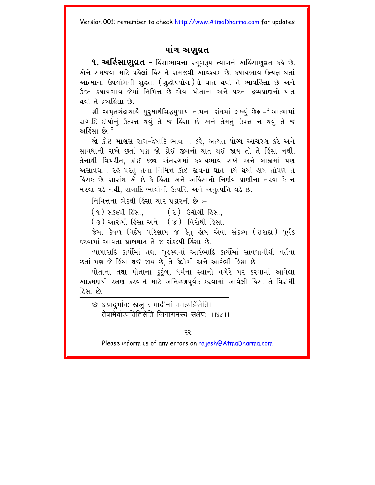### પાંચ અણુવ્રત

**૧. અહિંસાણવ્રત** - હિંસાભાવના સ્થળરૂપ ત્યાગને અહિંસાણુવ્રત કહે છે. એને સમજવા માટે પહેલાં હિંસાને સમજવી આવશ્યક છે. કપાયભાવ ઉત્પન્ન થતાં આત્માના ઉપયોગની શદ્ધતા (શદ્ધોપયોગ)નો ઘાત થવો તે ભાવહિંસા છે અને ઉક્ત કપાયભાવ જેમાં નિમિત્ત છે એવા પોતાના અને પરના દ્રવ્યપ્રાણનો ઘાત થવો તે દ્રવ્યહિંસા છે.

શ્રી અમતચંદ્રાચાર્યે પરપાર્થસિદ્ધયપાય નામના ગ્રંથમાં લખ્યં છે∗ –"આત્મામાં રાગાદિ દોષોનં ઉત્પન્ન થવં તે જ હિંસા છે અને તેમનં ઉપન્ન ન થવં તે જ અહિંસા છે "

જો કોઈ માણસ રાગ-દ્વેષાદિ ભાવ ન કરે. અત્યંત યોગ્ય આચરણ કરે અને સાવધાની રાખે છતાં પણ જો કોઈ જીવનો ઘાત થઈ જાય તો તે હિંસા નથી. તેનાથી વિપરીત, કોઈ જીવ અંતરંગમાં કષાયભાવ રાખે અને બાહ્યમાં પણ અસાવધાન રહે પરંતુ તેના નિમિત્તે કોઈ જીવનો ઘાત નયે થયો હોય તોપણ તે હિંસક છે. સારાંશ એ છે કે હિંસા અને અહિંસાનો નિર્ણય પ્રાણીના મરવા કે ન મરવા વડે નથી, રાગાદિ ભાવોની ઉત્પત્તિ અને અનુત્પત્તિ વડે છે.

નિમિત્તના ભેદથી હિંસા ચાર પ્રકારની છે :-

- (૧) સંકલ્પી હિંસા, (૨) ઉદ્યોગી હિંસા,
- (૩) આરંભી કિંસા અને (૪) વિરોધી કિંસા.

જેમાં કેવળ નિર્દય પરિણામ જ હેતુ હોય એવા સંકલ્પ (ઈરાદા) પૂર્વક કરવામાં આવતા પ્રાણધાત તે જ સંકલ્પી હિંસા છે

વ્યાપારાદિ કાર્યોમાં તથા ગુલ્સ્થનાં આરંભાદિ કાર્યોમાં સાવધાનીથી વર્તવા છતાં પણ જે હિંસા થઈ જાય છે, તે ઉદ્યોગી અને આરંભી હિંસા છે.

પોતાના તથા પોતાના કટંબ. ધર્મના સ્થાનો વગેરે પર કરવામાં આવેલા આક્રમણથી રક્ષણ કરવાને માટે અનિચ્છાપર્વક કરવામાં આવેલી હિંસા તે વિરોધી હિંસા છે

\* अप्रादर्भावः खलु रागादीनां भवत्यहिंसेति। तेषामेवोत्पत्तिहिंसेति जिनागमस्य संक्षेप: ।।४४।।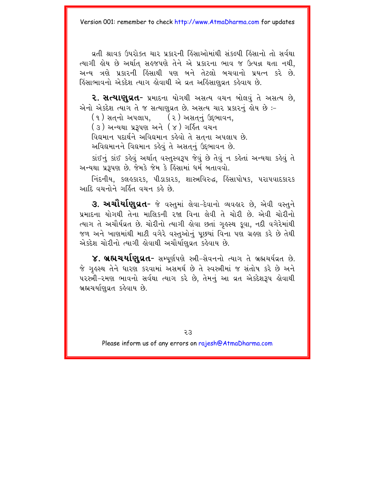વ્રતી શ્રાવક ઉપરોક્ત ચાર પ્રકારની હિંસાઓમાંથી સંકલ્પી હિંસાનો તો સર્વથા ત્યાગી લેય છે અર્થાત સહજપણે તેને એ પ્રકારના ભાવ જ ઉત્પન્ન થતા નથી. અન્ય ત્રણે પ્રકારની હિંસાથી પણ બને તેટલો બચવાનો પ્રયત્ન કરે છે. ફિંસાભાવનો એકદેશ ત્યાગ કોવાથી એ વ્રત અફિંસાણવ્રત કફેવાય છે.

2. સત્યાણવ્રત- પ્રમાદના યોગથી અસત્ય વચન બોલવં તે અસત્ય છે. એનો એકદેશ ત્યાગ તે જ સત્યાણવ્રત છે. અસત્ય ચાર પ્રકારનં હોય છે :-

(૧) સતનો અપલાપ. (૨) અસતનં ઉદભાવન.

(३) અન્યથા પ્રરૂપણ અને (४) ગર્હિત વચન

વિદ્યમાન પદાર્થને અવિદ્યમાન કહેવો તે સતના અપલાપ છે.

અવિદ્યમાનને વિદ્યમાન કહેવું તે અસતનું ઉદભાવન છે.

કાંઈનું કાંઈ કહેવું અર્થાત્ વસ્તુસ્વરૂપ જેવું છે તેવું ન કહેતાં અન્યથા કહેવું તે અન્યથા પ્રરૂપણ છે. જેમકે જેમ કે હિંસામાં ધર્મ બતાવવો.

નિંદનીય, કલહકારક, પીડાકારક, શાસ્ત્રવિરુદ્ધ, હિંસાપોષક, પરાપવાદકારક આદિ વચનોને ગર્હિત વચન કહે છે.

**૩. અચૌર્યાણવ્રત-** જે વસ્તુમાં લેવા–દેવાનો વ્યવહાર છે, એવી વસ્તુને પ્રમાદના યોગથી તેના માલિકની રજા વિના લેવી તે ચોરી છે. એવી ચોરીનો ત્યાગ તે અચૌર્યવ્રત છે. ચોરીનો ત્યાગી હોવા છતાં ગુહસ્થ કુવા, નદી વગેરેમાંથી જળ અને ખાણમાંથી માટી વગેરે વસ્તુઓનું પૂછયાં વિના પણ ગ્રહણ કરે છે તેથી એકદેશ ચોરીનો ત્યાગી હોવાથી અચૌર્યાણુવ્રત કહેવાય છે.

૪. બ્રહ્મચર્યાણુવ્રત- સમ્પૂર્ણપણે સ્ત્રી-સેવનનો ત્યાગ તે બ્રહ્મચર્યવ્રત છે. જે ગહસ્થ તેને ધારણ કરવામાં અસમર્થ છે તે સ્વસ્ત્રીમાં જ સંતોષ કરે છે અને પરસ્ત્રી-રમણ ભાવનો સર્વથા ત્યાગ કરે છે, તેમનું આ વ્રત એકદેશરૂપ હોવાથી બ્રહ્મચર્યાણવ્રત કહેવાય છે.

 $55$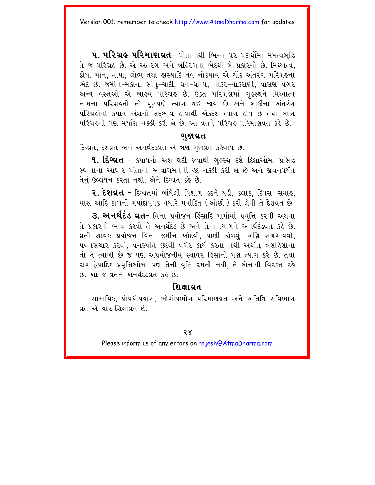**૫. ૫રિગ્રિઙ ૫રિમાણવ્રત-** પોતાનાથી ભિન્ન પર પદાર્થોમાં મમત્વબુદ્ધિ તે જ પરિગ્રહ છે. એ અંતરંગ અને બહિરંગના ભેદથી બે પ્રકારનો છે. મિથ્યાત્વ. ક્રોધ, માન, માયા, લોભ તથા લસ્યાદિ નવ નોકષાય એ ચૌદ અંતરંગ પરિગ્રલ્ના ભેદ છે. જમીન-મકાન, સોનું-ચાંદી, ધન-ધાન્ય, નોકર-નોકરાણી, વાસણ વગેરે અન્ય વસ્તુઓ એ બાહ્ય પરિગ્રહ છે. ઉક્ત પરિગ્રહોમાં ગુહસ્થને મિથ્યાત્વ નામના પરિગ્રહનો તો પૂર્ણપણે ત્યાગ થઈ જાય છે અને બાકીના અંતરંગ પરિગ્રહોનો કપાય અંશનો સદભાવ હોવાથી એકદેશ ત્યાગ હોય છે તથા બાહ્ય પરિગ્રહની પણ મર્યાદા નક્કી કરી લે છે. આ વ્રતને પરિગ્રહ પરિમાણવ્રત કહે છે.

### ગણવ્રત

દિગ્વત. દેશવ્રત અને અનર્થદંડવ્રત એ ત્રણ ગુણવ્રત કહેવાય છે.

**૧. દિગ્દ્રાત** - કપાયનો અંશ ઘટી જવાથી ગુલ્સ્થ દશે દિશાઓમાં પ્રસિદ્ધ સ્થાનોના આધારે પોતાના આવાગમનની ૬દ નક્કી કરી લે છે અને જીવનપર્યંત તેનું ઉલ્લંઘન કરતા નથી. એને દિગ્વત કહે છે.

**૨. દેશઘત -** દિગ્વતમાં બાંધેલી વિશાળ ઙુદને ઘડી. કલાક. દિવસ. સપ્તાઙ. માસ આદિ કાળની મર્યાદાપર્વક વધારે મર્યાદિત (ઓછી) કરી લેવી તે દેશવ્રત છે.

3. અનર્થદંડ ઘ્રત- વિના પ્રયોજન હિંસાદિ પાપોમાં પ્રવૃત્તિ કરવી અથવા તે પ્રકારનો ભાવ કરવો તે અનર્થદંડ છે અને તેના ત્યાગને અનર્થદંડવ્રત કહે છે. વ્રતી શ્રાવક પ્રયોજન વિના જમીન ખોદવી, પાણી ઢોળવું, અગ્નિ સળગાવવો, ૫વનસંચાર કરવો, વનસ્પતિ છેદવી વગેરે કાર્ય કરતા નથી અર્થાત ત્રસહિંસાના તો તે ત્યાગી છે જ પણ અપ્રયોજનીય સ્થાવર હિંસાનો પણ ત્યાગ કરે છે. તથા રાગ-દ્વેષાદિક પ્રવૃત્તિઓમાં પણ તેની વૃત્તિ રમતી નથી, તે એનાથી વિરક્ત રહે છે. આ જ વ્રતને અનર્થદંડવ્રત કહે છે.

### શિક્ષાવત

સામાયિક. પ્રોષધોપવાસ. ભોગોપભોગ પરિમાણવ્રત અને અતિથિ સંવિભાગ વ્રત એ ચાર શિક્ષાવ્રત છે.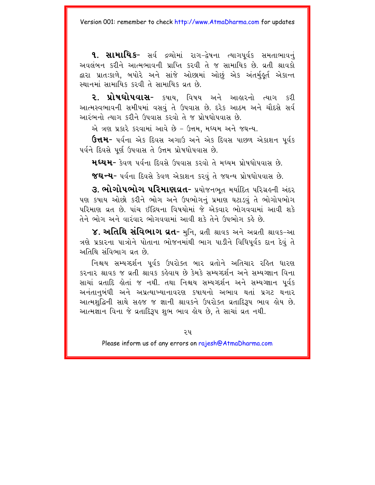**૧. સામાયિક-** સર્વ દ્રવ્યોમાં રાગ-દ્વેષના ત્યાગપૂર્વક સમતાભાવનું અવલંબન કરીને આત્મભાવની પ્રાપ્તિ કરવી તે જ સામાયિક છે. વ્રતી શ્રાવકો દ્વારા પ્રાતઃકાળે, બપોરે અને સાંજે ઓછામાં ઓછું એક અંતર્મહુર્ત એકાન્ત સ્થાનમાં સામાયિક કરવી તે સામાયિક વ્રત છે.

૨. પ્રોષધોપવાસ- કષાય. વિષય અને આહારનો ત્યાગ કરી આત્મસ્વભાવની સમીપમાં વસવું તે ઉપવાસ છે. દરેક આઠમ અને ચૌદસે સર્વ આરંભનો ત્યાગ કરીને ઉપવાસ કરવો તે જ પોષધોપવાસ છે.

એ ત્રણ પ્રકારે કરવામાં આવે છે - ઉત્તમ. મધ્યમ અને જઘન્ય.

**ઉત્તમ-** પર્વના એક દિવસ અગાઉ અને એક દિવસ પાછળ એકાશન પૂર્વક પર્વને દિવસે પૂર્ણ ઉપવાસ તે ઉત્તમ પ્રોષધોપવાસ છે.

**મધ્યમ-** કેવળ પૂર્વના દિવસે ઉપવાસ કરવો તે મધ્યમ પોષધોપવાસ છે.

જઘન્ય- પર્વના દિવસે કેવળ એકાશન કરવું તે જઘન્ય પ્રોષધોપવાસ છે.

3. ભોગોપભોગ પરિમાણવ્રત- પ્રયોજનભત મર્યાદિત પરિગ્રહની અંદર પણ કપાય ઓછો કરીને ભોગ અને ઉપભોગનું પ્રમાણ ઘટાડવું તે ભોગોપભોગ <u>પરિમાણ વ્રત છે. પાંચ ઈંદ્રિયના વિષયોમાં જે એકવાર ભોગવવામાં આવી શકે</u> તેને ભોગ અને વારંવાર ભોગવવામાં આવી શકે તેને ઉપભોગ કહે છે.

૪. અતિથિ સંવિભાગ ઘત- મુનિ, વ્રતી શ્રાવક અને અવ્રતી શ્રાવક-આ ત્રણે પ્રકારના પાત્રોને પોતાના ભોજનમાંથી ભાગ પાડીને વિધિપર્વક દાન દેવં તે અતિથિ સંવિભાગ વ્રત છે.

નિશ્ચય સમ્યગ્દર્શન ૫ર્વક ઉપરોક્ત બાર વ્રતોને અતિચાર રહિત ધારણ <u> કરનાર શ્રાવક જ વતી શ્રાવક કહેવાય છે કેમકે સમ્યગ્દર્શન અને સમ્યગ્જ્ઞાન વિના</u> સાચાં વ્રતાદિ હોતાં જ નથી. તથા નિશ્ચય સમ્યગ્દર્શન અને સમ્યગ્જ્ઞાન પર્વક અનંતાનબંધી અને અપ્રત્યાખ્યાનાવરણ કપાયનો અભાવ થતાં પ્રગટ થનાર આત્મશુદ્ધિની સાથે સહજ જ જ્ઞાની શ્રાવકને ઉપરોક્ત વ્રતાદિરૂપ ભાવ હોય છે. આત્મજ્ઞાન વિના જે વ્રતાદિરૂપ શભ ભાવ હોય છે. તે સાચાં વ્રત નથી.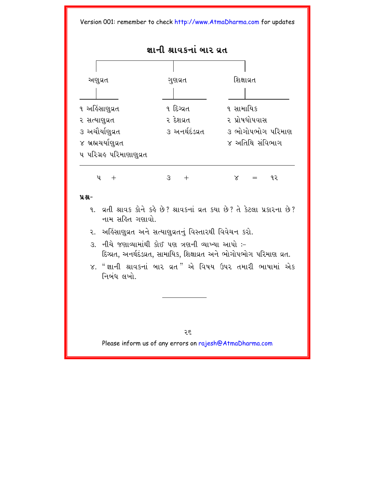**જ્ઞાની શ્રાવકનાં બાર વત** 



### **ÝÆ-**

- 9. g.d. શ્રાવક કોને કહે છે? શ્રાવકનાં વ્રત કયા છે? તે કેટલા પ્રકારના છે? નામ સહિત ગણાવો
- ૨. અહિંસાણુવ્રત અને સત્યાણુવ્રતનું વિસ્તારથી વિવેચન કરો.
- $3.$  નીચે જણાવ્યામાંથી કોઈ પણ ત્રણની વ્યાખ્યા આપો :-દિગ્રત, અનર્થદંડવ્રત, સામાયિક, શિક્ષાવ્રત અને ભોગોપભોગ પરિમાણ વ્રત.
- $\times$ . "જ્ઞાની શ્રાવકનાં બાર વ્રત" એ વિષય ઉપર તમારી ભાષામાં એક નિબંધ લખો

26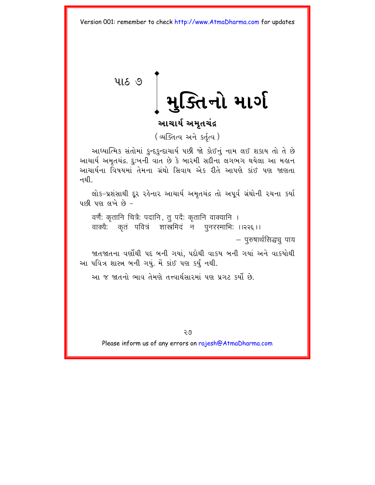<span id="page-31-0"></span>પાઠ ૭

મુક્તિનો માર્ગ

## આચાર્ય અમૃતચંદ્ર

(अजित्य अने sर्तृत्य)

આધ્યાત્મિક સંતોમાં કુન્દકુન્દાચાર્ય પછી જો કોઈનું નામ લઈ શકાય તો તે છે આચાર્ય અમૃતચંદ્ર. દુઃખની વાત છે કે બારમી સદીના લગભગ થયેલા આ મહાન <u>આચાર્યના વિષયમાં તેમના ગ્રંથો સિવાય એક રીતે આપણે કાંઈ પણ જાણતા</u> ન થી

લોક-પ્રશંસાથી દૂર રહેનાર આચાર્ય અમૃતચંદ્ર તો અપૂર્વ ગ્રંથોની રચના કર્યા  $\frac{1}{2}$  up and  $\frac{1}{2}$ 

वर्णैः कृतानि चित्रैः पदानि, तु पदैः कृतानि वाक्यानि । वाक्यैः कतं पवित्रं शास्त्रमिदं न पनरस्माभिः ।।२२६।।

– पुरुषार्थसिद्धच् पाय

જાતજાતના વર્ણોથી પદ બની ગયાં, પદોથી વાકય બની ગયાં અને વાકયોથી આ પવિત્ર શાસ્ત્ર બની ગયં. મેં કાંઈ પણ કર્ય નથી.

આ જ જાતનો ભાવ તેમણે તત્ત્વાર્થસારમાં પણ પ્રગટ કર્યો છે.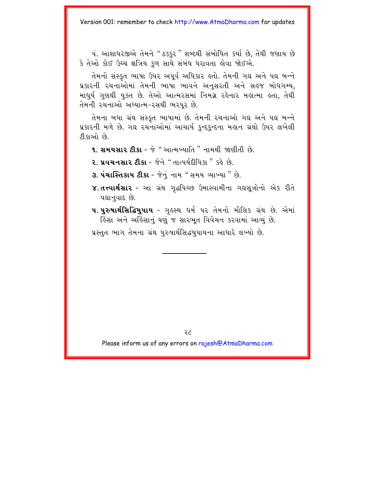પં. આશાધરજીએ તેમને "ઠક્કર" શબ્દથી સંબોધિત કર્યા છે, તેથી જણાય છે કે તેઓ કોઈ ઉચ્ચ ક્ષત્રિય કુળ સાથે સંબંધ ધરાવતા હોવા જોઈએ.

તેમનો સંસ્કત ભાષા ઉપર અપર્વ અધિકાર હતો. તેમની ગદ્ય અને પદ્ય બન્ને પ્રકારની રચનાઓમાં તેમની ભાષા ભાવને અનુસરતી અને સહજ બોધગમ્ય. માધર્ય ગુણથી યુક્ત છે. તેઓ આત્મરસમાં નિમગ્ન રહેનાર મહાત્મા હતા, તેથી તેમની રચનાઓ અઘ્યાત્મ-રસથી ભરપર છે.

તેમના બધા ગ્રંથ સંસ્કૃત ભાષામાં છે. તેમની રચનાઓ ગઘ અને પઘ બન્ને પ્રકારની મળે છે. ગઘ રચનાઓમાં આચાર્ય કુન્દકુન્દના મહાન ગ્રંથો ઉપર લખેલી ટીકાઓ છે.

- **૧. સમયસાર ટીકા** જે " આત્મખ્યાતિ " નામથી જાણીતી છે.
- 2. પ્રવચનસાર ટીકા જેને "તાત્પર્યદીપિકા " કહે છે.
- 3. પંચાસ્તિકાય ટીકા જેનું નામ "સમય વ્યાખ્યા" છે.
- ૪.તત્ત્વાર્થસાર આ ગ્રંથ ગદ્ધપિચ્છ ઉમાસ્વામીના ગઘસત્રોનો એક રીતે પદ્યાનવાદ છે.
- **૫. પુરુષાર્થસિદ્ધિયુપાય -** ગુહસ્થ ધર્મ ૫૨ તેમનો મૌલિક ગ્રંથ છે. એમાં ફિંસા અને અફિંસાનું ઘણું જ સારભુત વિવેચન કરવામાં આવ્યું છે.

પ્રસ્તુત ભાગ તેમના ગ્રંથ પુરુષાર્થસિદ્ધયુપાયના આધારે લખ્યો છે.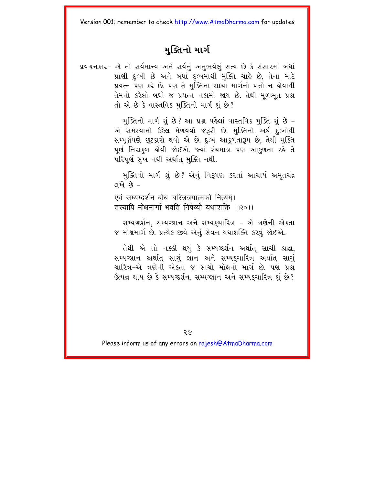### મક્તિનો માર્ગ

પ્રવચનકાર- એ તો સર્વમાન્ય અને સર્વનું અનુભવેલું સત્ય છે કે સંસારમાં બધાં પ્રાણી દુઃખી છે અને બધાં દુઃખમાંથી મુક્તિ ચાહે છે, તેના માટે પ્રયત્ન પણ કરે છે. પણ તે મુક્તિના સાચા માર્ગનો પત્તો ન હોવાથી તેમનો કરેલો બધો જ પ્રયત્ન નકામો જાય છે. તેથી મળભત પ્રશ્ન તો એ છે કે વાસ્તવિક મુક્તિનો માર્ગ શું છે?

> મુક્તિનો માર્ગ શું છે? આ પ્રશ્ન પહેલાં વાસ્તવિક મુક્તિ શું છે -એ સમસ્યાનો ઉકેલ મેળવવો જરૂરી છે. મુક્તિનો અર્થ દુઃખોથી સમ્પર્ણપણે છૂટકારો થવો એ છે. દુઃખ આકળતારૂપ છે, તેથી મુક્તિ પર્ણ નિરાકળ હોવી જોઈએ. જ્યાં રંચમાત્ર પણ આકુળતા રહે તે પરિપર્ણ સુખ નથી અર્થાત્ મુક્તિ નથી.

> મક્તિનો માર્ગ શં છે? એનં નિરૂપણ કરતાં આચાર્ય અમતચંદ્ર  $4\omega$   $\omega$   $-$

एवं सम्यग्दर्शन बोध चरित्रत्रयात्मको नित्यम। तस्यापि मोक्षमार्गो भवति निषेत्यो यथाशक्ति ।।२०।।

સમ્યગ્દર્શન. સમ્યગ્જ્ઞાન અને સમ્યકચારિત્ર - એ ત્રણેની એકતા જ મોક્ષમાર્ગ છે. પ્રત્યેક જીવે એનું સેવન યથાશક્તિ કરવું જોઈએ.

તેથી એ તો નક્કી થયું કે સમ્યગ્દર્શન અર્થાત સાચી શ્રદ્ધા, સમ્યગ્જ્ઞાન અર્થાત્ સાચું જ્ઞાન અને સમ્યક્ચારિત્ર અર્થાત્ સાચું ચારિત્ર–એ ત્રણેની એકતા જ સાચો મોક્ષનો માર્ગ છે. પણ પ્રશ્ન ઉત્પન્ન થાય છે કે સમ્યગ્દર્શન, સમ્યગ્જ્ઞાન અને સમ્યકચારિત્ર શું છે?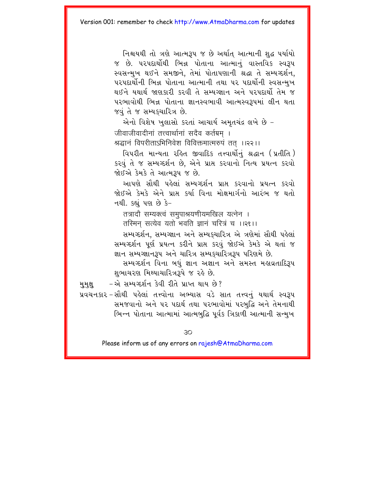નિશ્ચયથી તો ત્રણે આત્મરૂપ જ છે અર્થાત આત્માની શુદ્ધ પર્યાયો જ છે. પરપદાર્થોથી ભિન્ન પોતાના આત્માનં વાસ્તવિક સ્વરૂપ સ્વસન્મુખ થઈને સમજીને, તેમાં પોતાપણાની શ્રદ્ધા તે સમ્યગ્દર્શન, પરપદાર્થોની ભિન્ન પોતાના આત્માની તથા ૫૨ પદાર્થોની સ્વસન્મુખ થઈને યથાર્થ જાણકારી કરવી તે સમ્યગ્જ્ઞાન અને પરપદાર્થો તેમ જ પરભાવોથી ભિન્ન પોતાના જ્ઞાનસ્વભાવી આત્મસ્વરૂપમાં લીન થતા જવું તે જ સમ્યક્ચારિત્ર છે.

એનો વિશેષ ખુલાસો કરતાં આચાર્ય અમૃતચંદ્ર લખે છે -जीवाजीवादीनां तत्त्वार्थानां सदैव कर्तग्रम् । श्रद्धानं विपरीताऽभिनिवेश विविक्तमात्मरुपं तत ।।२२।।

વિપરીત માન્યતા રહિત જીવાદિક તત્ત્વાર્થોનું શ્રદ્ધાન (પ્રતીતિ) કરવું તે જ સમ્યગ્દર્શન છે, એને પ્રાપ્ત કરવાનો નિત્ય પ્રયત્ન કરવો જોઈએ કેમકે તે આત્મરૂપ જ છે.

આપણે સૌથી પહેલાં સમ્યગ્દર્શન પ્રાપ્ત કરવાનો પ્રયત્ન કરવો જોઈએ કેમકે એને પ્રાપ્ત કર્યા વિના મોક્ષમાર્ગનો આરંભ જ થતો નથી. કહ્યું પણ છે કે-

तत्रादौ सम्यक्त्वं समुपाश्रयणीयमखिल यत्नेन ।

तस्मिन सत्येव यतो भवति ज्ञानं चरित्रं च ।।२१।।

સમ્યગ્દર્શન, સમ્યગ્જ્ઞાન અને સમ્યકચારિત્ર એ ત્રણેમાં સૌથી પહેલાં સમ્યગ્દર્શન પૂર્ણ પ્રયત્ન કરીને પ્રાપ્ત કરવું જોઈએ કેમકે એ થતાં જ જ્ઞાન સમ્યગ્જ્ઞાનરૂપ અને ચારિત્ર સમ્યકચારિત્રરૂપ પરિણમે છે.

સમ્યગ્દર્શન વિના બધં જ્ઞાન અજ્ઞાન અને સમસ્ત મહાવ્રતાદિરૂપ શભાચરણ મિથ્યાચારિત્રરૂપે જ રહે છે.

-એ સમ્યગ્દર્શન કેવી રીતે પ્રાપ્ત થાય છે? મુમુક્ષ

પ્રવચનકાર-સૌથી પહેલાં તત્ત્વોના અભ્યાસ વડે સાત તત્ત્વનું યથાર્થ સ્વરૂપ સમજવાનો અને ૫૨ પદાર્થ તથા ૫૨ભાવોમાં ૫૨બુદ્ધિ અને તેમનાથી ભિન્ન પોતાના આત્મામાં આત્મબુદ્ધિ પૂર્વક ત્રિકાળી આત્માની સન્મુખ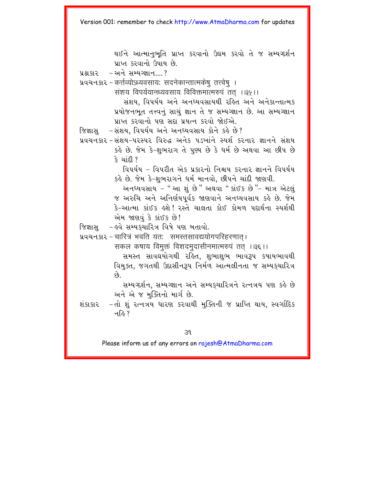થઈને આત્માનુભુતિ પ્રાપ્ત કરવાનો ઉદ્યમ કરવો તે જ સમ્યગ્દર્શન પ્રાપ્ત કરવાનો ઉપાય છે.

 $-$  અને સમ્યગ્જ્ઞાન...? પ્રશ્ન કાર

प्रवयनशर - कर्त्तव्योऽध्यवसायः सदनेकान्तात्मकेषु तत्त्वेषु ।

संशय विपर्ययानध्यवसाय विविक्तमात्मरुपं तत ।।३५।।

સંશય. વિપર્યય અને અનઘ્યવસાયથી રહિત અને અનેકાન્તાત્મક પ્રયોજનભૂત તત્ત્વનું સાચું જ્ઞાન તે જ સમ્યગ્જ્ઞાન છે. આ સમ્યગ્જ્ઞાન પ્રાપ્ત કરવાનો પણ સદા પ્રયત્ન કરવો જોઈએ.

- -સંશય. વિપર્યય અને અનધ્યવસાય કોને કર્લ્ડ છે? જિજ્ઞાસ
- પ્રવચનકાર સંશય–પરસ્પર વિરુદ્ધ અનેક પડખાંને સ્પર્શ કરનાર જ્ઞાનને સંશય કહે છે. જેમ કે-શુભરાગ તે પુણ્ય છે કે ધર્મ છે અથવા આ છીપ છે કે ચાંદી ?

વિપર્યય - વિપરીત એક પ્રકારનો નિશ્ચય કરનાર જ્ઞાનને વિપર્યય કહે છે. જેમ કે-શભરાગને ધર્મ માનવો. છીપને ચાંદી જાણવી.

અનધ્યવસાય - " આ શું છે" અથવા " કાંઈક છે "- માત્ર એટલું જ અરુચિ અને અનિર્ણયપર્વક જાણવાને અનઘ્યવસાય કહે છે. જેમ કે-આત્મા કાંઈક હશે! રસ્તે ચાલતા કોઈ કોમળ પદાર્થના સ્પર્શથી એમ જાણવું કે કાંઈક છે!

- હવે સમ્યકચારિત્ર વિષે પણ બતાવો. જિજ્ઞાસ

प्रथयनशर - चारित्रं भवति यतः समस्तसावद्ययोगपरिहरणात।

सकल कषाय विमक्तं विशदमदासीनमात्मरुपं तत ।।३६।।

સમસ્ત સાવઘયોગથી રહિત. શભાશભ ભાવરૂપ કષાયભાવથી વિમુક્ત, જગતથી ઉદાસીનરૂપ નિર્મળ આત્મલીનતા જ સમ્યકચારિત્ર  $\hat{\rho}_3$ 

સમ્યગ્દર્શન. સમ્યગ્જ્ઞાન અને સમ્યકચારિત્રને રત્નત્રય પણ કહે છે અને એ જ મુક્તિનો માર્ગ છે.

-તો શું રત્નત્રય ધારણ કરવાથી મુક્તિની જ પ્રાપ્તિ થાય, સ્વર્ગાદિક શંકાકાર न $\delta$  ?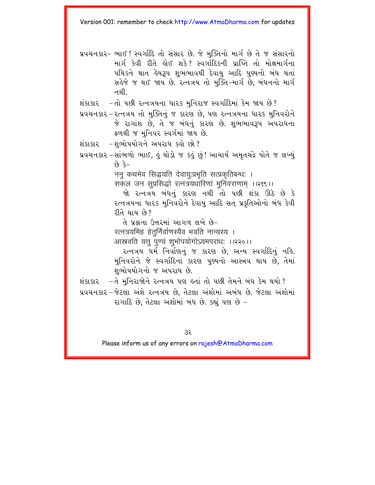- પ્રવચનકાર- ભાઈ ! સ્વર્ગાદિ તો સંસાર છે. જે મુક્તિનો માર્ગ છે તે જ સંસારનો માર્ગ કેવી રીતે લોઈ શકે? સ્વર્ગાદિકની પ્રાપ્તિ તો મોક્ષમાર્ગના પથિકને થાત હેય**રૂ**પ શભભાવથી દેવાય આદિ પુણ્યનો બંધ થતાં સહેજે જ થઈ જાય છે. રત્નત્રય તો મુક્તિ-માર્ગ છે. બંધનનો માર્ગ નથી. $\overline{\phantom{a}}$
- $x$ islsla de vel detavat muis yerder and Eusena de?
- પ્રવચનકાર રત્નત્રય તો મુક્તિનું જ કારણ છે. પણ રત્નત્રયના ધારક મુનિવરોને જે રાગાંશ છે. તે જ બંધનું કારણ છે. શુભભાવરૂપ અપરાધના ફળથી જ મુનિવર સ્વર્ગમાં જાય છે.
- $x_i$ કાકાર શભોપયોગને અપરાધ કહો છો?
- <u>પ્ર</u>વચનકાર સાંભળો ભાઈ, કું થોડો જ કુકું છું! આચાર્ય અમૃતચંદ્રે પોતે જ લખ્યું  $-5$   $63$

नन् कथमेव सिद्धयति देवायु:प्रभृति सत्प्रकृतिबन्ध: ।

सकल जन सुप्रसिद्धो रत्नत्रयधारिणां मुनिवराणाम ।।२१९।।

જો રત્નત્રય બંધનું કારણ નથી તો પછી શંકા ઊઠે છે કે રત્નત્રયના ધારક મુનિવરોને દેવાયુ આદિ સત પ્રકૃતિઓનો બંધ કેવી રીતે થાય છે?

તે પશ્ચના ઉત્તરમાં આગળ લખે છે– रत्नत्रयमिह हेतुर्निर्वाणस्यैव भवति नान्यस्य । आस्त्रवति यत्तु पुण्यं शुभोपयोगोऽयमपराधः ।।२२०।।

૨ત્નત્રય ધર્મ નિર્વાણનું જ કારણ છે, અન્ય સ્વર્ગાદિનું નહિ. મુનિવરોને જે સ્વર્ગાદિનાં કારણ પુણ્યનો આસ્ત્રવ થાય છે. તેમાં શભોપયોગનો જ અપરાધ છે.

શંકાકાર -તે મુનિરાજોને રત્નત્રય પણ ક્રતાં તો પછી તેમને બંધ કેમ થયો ?

પ્રવચનકાર – જેટલા અંશે રત્નત્રય છે. તેટલા અંશોમાં અબંધ છે. જેટલા અંશોમાં રાગાદિ છે. તેટલા અંશોમાં બંધ છે. કહ્યં પણ છે –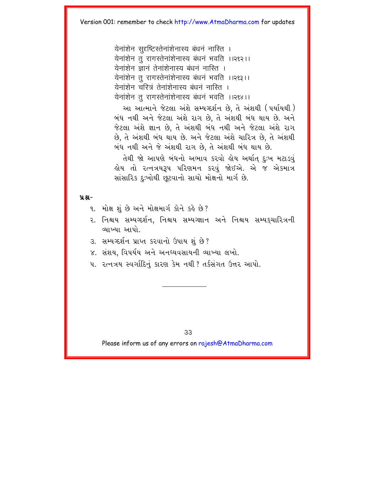येनांशेन सदृष्टिस्तेनांशेनास्य बंधनं नास्ति । येनांशेन त रागस्तेनांशेनास्य बंधनं भवति ।।२१२।। .<br>येनांशेन ज्ञानं तेनांशेनास्य बंधनं नास्ति । येनांशेन तु रागस्तेनांशेनास्य बंधनं भवति ।।२९३।। येनांशेन चरित्रं तेनांशेनास्य बंधनं नास्ति । येनांशेन तू रागस्तेनांशेनास्य बंधनं भवति ।।२९४।।

આ આત્માને જેટલા અંશે સમ્યગ્દર્શન છે. તે અંશથી (પર્યાયથી) બંધ નથી અને જેટલા અંશે રાગ છે, તે અંશથી બંધ થાય છે. અને જેટલા અંશે જ્ઞાન છે, તે અંશથી બંધ નથી અને જેટલા અંશે રાગ છે. તે અંશથી બંધ થાય છે. અને જેટલા અંશે ચારિત્ર છે. તે અંશથી બંધ નથી અને જે અંશથી રાગ છે. તે અંશથી બંધ થાય છે.

તેથી જો આપણે બંધનો અભાવ કરવો હોય અર્થાત દુઃખ મટાડવું હોય તો રત્નત્રયરૂપ પરિણમન કરવું જોઈએ. એ જ એકમાત્ર સાંસારિક દુઃખોથી છૂટવાનો સાચો મોક્ષનો માર્ગ છે.

#### $9.8 -$

- 9. મોક્ષ શું છે અને મોક્ષમાર્ગ કોને કહે છે?
- ૨. નિશ્ચય સમ્યગ્દર્શન, નિશ્ચય સમ્યગ્જ્ઞાન અને નિશ્ચય સમ્યકચારિત્રની વ્યાખ્યા આપો
- ૩. સમ્યગ્દર્શન પ્રાપ્ત કરવાનો ઉપાય શું છે?
- ૪. સંશય, વિપર્યય અને અનધ્યવસાયની વ્યાખ્યા લખો.
- ૫. રત્નત્રય સ્વર્ગાદિનું કારણ કેમ નથી ? તર્કસંગત ઉત્તર આપો.

 $33$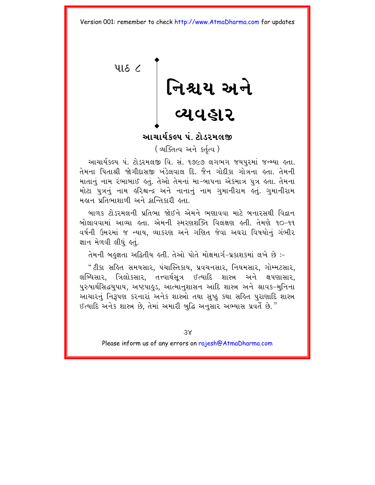<span id="page-38-0"></span> $416<sup>2</sup>$ 

# નિશ્ચય અને<br>વ્યવહાર

### આચાર્યકલ્પ પં. ટોડરમલજી

(व्यक्तित्व अने sर्तत्व)

આચાર્યકલ્પ પં. ટોડરમલજી વિ. સં. ૧૭૯૭ લગભગ જયપુરમાં જન્મ્યા હતા. તેમના પિતાશ્રી જોગીદાસજી ખંડેલવાલ દિ. જૈન ગોદીકા ગોત્રના હતા. તેમની માતાનું નામ રંભાબાઈ હતું. તેઓ તેમનાં મા-બાપના એકમાત્ર પુત્ર હતા. તેમના મોટા પુત્રનું નામ હરિશ્ચન્દ્ર અને નાનાનું નામ ગુમાનીરામ હતું. ગુમાનીરામ મહાન પ્રતિભાશાળી અને ક્રાન્તિકારી હતા

બાળક ટોડરમલની પ્રતિભા જોઈને એમને ભણાવવા માટે બનારસથી વિદ્વાન બોલાવવામાં આવ્યા હતા. એમની સ્મરણશક્તિ વિલક્ષણ હતી. તેમણે ૧૦-૧૧ વર્ષની ઉમરમાં જ ન્યાય, વ્યાકરણ અને ગણિત જેવા અઘરા વિષયોનું ગંભીર જ્ઞાન મેળવી લીધું હતું.

તેમની બહુજ્ઞતા અદ્વિતીય હતી. તેઓ પોતે મોક્ષમાર્ગ-પ્રકાશકમાં લખે છે :-

"ટીકા સહિત સમયસાર, પંચાસ્તિકાય, પ્રવચનસાર, નિયમસાર, ગોમ્મટસાર, લબ્ધિસાર, ત્રિલોકસાર, તત્ત્વાર્થસૂત્ર ઈત્યાદિ શાસ્ત્ર અને ક્ષપણાસાર, પુરુષાર્થસિદ્ધયુપાય, અષ્ટપાહુડ, આત્માનુશાસન આદિ શાસ્ત્ર અને શ્રાવક-મુનિના આચારનું નિરૂપણ કરનારાં અનેક શાસ્ત્રો તથા સુષ્ઠુ કથા સહિત પુરાણાદિ શાસ્ત્ર ઈત્યાદિ અનેક શાસ્ત્ર છે. તેમાં અમારી બદ્ધિ અનસાર અભ્યાસ પ્રવર્તે છે."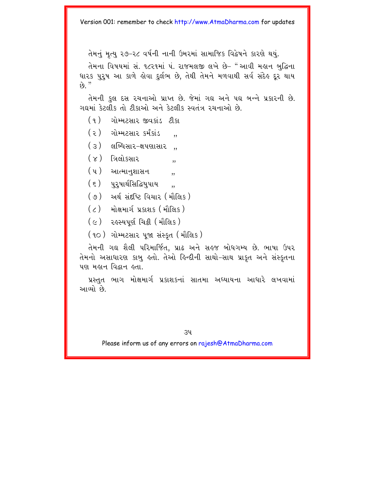તેમનું મૃત્યુ ૨૭–૨૮ વર્ષની નાની ઉમરમાં સામાજિક વિદ્વેષને કારણે થયું.

તેમના વિષયમાં સં. ૧૮૨૧માં પં. રાજમલજી લખે છે– "આવી મહાન બદ્ધિના ધારક પરષ આ કાળે હોવા દર્લભ છે. તેથી તેમને મળવાથી સર્વ સંદેહ દર થાય  $k_0$  "

તેમની કુલ દસ રચનાઓ પ્રાપ્ત છે. જેમાં ગઘ અને પદ્ય બન્ને પ્રકારની છે. ગદ્યમાં કેટલીક તો ટીકાઓ અને કેટલીક સ્વતંત્ર રચનાઓ છે.

- (૧) ગોમ્મટસાર જીવકાંડ ટીકા
- $(z)$  ગોમ્મટસાર કર્મકાંડ .,
- $(3)$  dબ્ધિસાર-ક્ષપણાસાર,
- $(x)$  ત્રિલોકસાર ,,
- $(\; \mathfrak{q} \; )$  આત્માનુશાસન ,,
- $(5)$  uzureladayuru,
- (૭) અર્થ સંદષ્ટિ વિચાર (મૌલિક)
- $(2)$  મોક્ષમાર્ગપ્રકાશક (મૌલિક)
- (૯) રહસ્યપર્ણ ચિક્રી (મૌલિક)
- (૧૦) ગોમ્મટસાર પજા સંસ્કત (મૌલિક)

તેમની ગઘ શૈલી પરિમાર્જિત, પ્રાઢ અને સહજ બોધગમ્ય છે. ભાષા ઉપર તેમનો અસાધારણ કાબુ હતો. તેઓ હિન્દીની સાથો-સાથ પ્રાકૃત અને સંસ્કૃતના પણ મહાન વિદ્વાન હતા.

પ્રસ્તુત ભાગ મોક્ષમાર્ગ પ્રકાશકનાં સાતમા અઘ્યાયના આધારે લખવામાં આવ્યો છે.

 $34$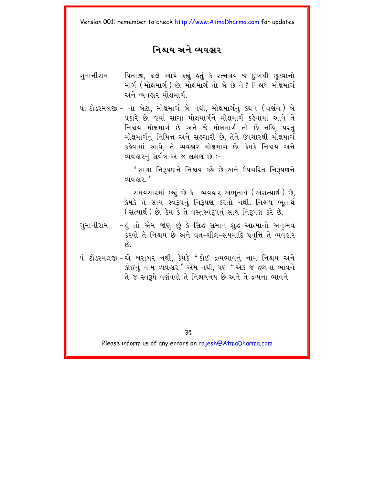### નિશ્ચય અને વ્યવહાર

- ગમાનીરામ – પિતાજી, કાલે આપે કહ્યું હતું કે રત્નત્રય જ દઃખથી છુટવાનો માર્ગ (મોક્ષમાર્ગ) છે. મોક્ષમાર્ગતો બે છે ને ? નિશ્ચય મોક્ષમાર્ગ અને વ્યવહાર મોક્ષમાર્ગ
- પં. ટોડરમલજી ના બેટા, મોક્ષમાર્ગ બે નથી, મોક્ષમાર્ગનું કથન (વર્ણન) બે પ્રકારે છે. જ્યાં સાચા મોક્ષમાર્ગને મોક્ષમાર્ગ કહેવામાં આવે તે નિશ્ચય મોક્ષમાર્ગ છે અને જે મોક્ષમાર્ગ તો છે નહિ, પરંતુ મોક્ષમાર્ગનું નિમિત્ત અને સહચારી છે. તેને ઉપચારથી મોક્ષમાર્ગ કહેવામાં આવે, તે વ્યવહાર મોક્ષમાર્ગ છે. કેમકે નિશ્ચય અને વ્યવહારનું સર્વત્ર એ જ લક્ષણ છે :-

" સાચા નિરૂપણને નિશ્ચય કહે છે અને ઉપચરિત નિરૂપણને ୟାଧାର  $"$ 

સમયસારમાં કહ્યું છે કે- વ્યવહાર અભુતાર્થ (અસત્યાર્થ) છે, કેમકે તે સત્ય સ્વરૂપનું નિરૂપણ કરતો નથી. નિશ્ચય ભુતાર્થ (સત્યાર્થ) છે, કેમ કે તે વસ્તુસ્વરૂપનું સાચું નિરૂપણ કરે છે.

- ગુમાનીરામ –હું તો એમ જાણું છું કે સિદ્ધ સમાન શુદ્ધ આત્માનો અનુભવ કરવો તે નિશ્ચય છે અને વ્રત-શીલ-સંયમાદિ પ્રવૃત્તિ તે વ્યવહાર  $\hat{g}$
- પં. ટોડરમલજી એ બરાબર નથી. કેમકે "કોઈ દ્રવ્યભાવનં નામ નિશ્ચય અને કોઈનું નામ વ્યવહાર" એમ નથી, પણ "એક જ દ્રવ્યના ભાવને તે જ સ્વરૂપે વર્ણવવો તે નિશ્ચયનય છે અને તે દ્રવ્યના ભાવને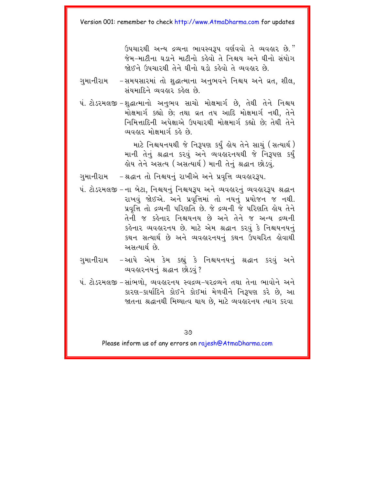ઉપચારથી અન્ય દ્રવ્યના ભાવસ્વરૂપ વર્ણવવો તે વ્યવહાર છે." જેમ-માટીના ઘડાને માટીનો કહેવો તે નિશ્ચય અને ઘીનો સંયોગ श्रेशने शियाग्थी तेने धीनो घड़ो इठेवो ते व्यवठार छो

ગુમાનીરામ -સમયસારમાં તો શુદ્ધાત્માના અનુભવને નિશ્ચય અને વ્રત, શીલ, સંયમાદિને વ્યવહાર કહેલ છે.

પં. ટોડરમલજી –શુદ્ધાત્માનો અનુભવ સાચો મોક્ષમાર્ગ છે, તેથી તેને નિશ્ચય મોક્ષમાર્ગ કહ્યો છે; તથા વ્રત તપ આદિ મોક્ષમાર્ગ નથી, તેને નિમિત્તાદિની અપેક્ષાએ ઉપચારથી મોક્ષમાર્ગ કહ્યો છે; તેથી તેને વ્યવહાર મોક્ષમાર્ગ કહે છે

> માટે નિશ્ચયનયથી જે નિરૂપણ કર્યું હોય તેને સાચું (સત્યાર્થ) માની તેનું શ્રદ્ધાન કરવું અને વ્યવહારનયથી જે નિરૂપણ કર્યું હોય તેને અસત્ય (અસત્યાર્થ) માની તેનું શ્રદ્ધાન છોડવું.

ગુમાનીરામ -શ્રદ્ધાન તો નિશ્ચયનું રાખીએ અને પ્રવૃત્તિ વ્યવહારરૂપ.

પં. ટોડરમલજી - ના બેટા. નિશ્ચયનં નિશ્ચયરૂપ અને વ્યવહારનં વ્યવહારરૂપ શ્રદ્ધાન રાખવં જોઈએ. અને પ્રવત્તિમાં તો નયનં પ્રયોજન જ નથી. પ્રવૃત્તિ તો દ્રવ્યની પરિણતિ છે. જે દ્રવ્યની જે પરિણતિ હોય તેને તેની જ કહેનાર નિશ્ચયનય છે અને તેને જ અન્ય દ્રવ્યની કહેનાર વ્યવહારનય છે. માટે એમ શ્રદ્ધાન કરવં કે નિશ્ચયનયનં કથન સત્યાર્થ છે અને વ્યવહારનયનં કથન ઉપચરિત હોવાથી અમત્યાર્થ છે

ગુમાનીરામ –આપે એમ કેમ કહ્યું કે નિશ્ચયનયનું શ્રદ્ધાન કરવું અને વ્યવહારનયનું શ્રદ્ધાન છોડવું?

પં. ટોડરમલજી – સાંભળો, વ્યવહારનય સ્વદ્રવ્ય–પરદ્રવ્યને તથા તેના ભાવોને અને કારણ-કાર્યાદિને કોઈને કોઈમાં મેળવીને નિરૂપણ કરે છે, આ જાતના શ્રદ્ધાનથી મિથ્યાત્વ થાય છે. માટે વ્યવહારનય ત્યાગ કરવા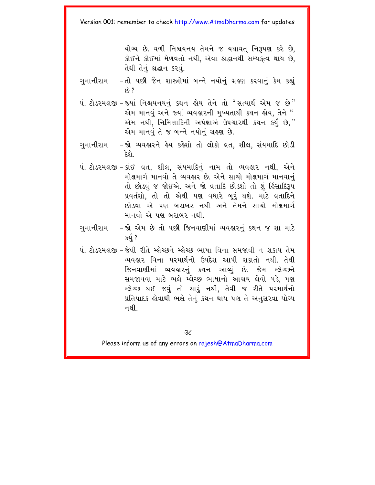યોગ્ય છે. વળી નિશ્ચયનય તેમને જ યથાવત નિરૂપણ કરે છે. કોઈને કોઈમાં મેળવતો નથી. એવા શ્રદ્ધાનથી સમ્યક્ત્વ થાય છે. तेथी तेनं श्रद्धान s२ .

- ગુમાનીરામ – તો પછી જૈન શાસ્ત્રોમાં બન્ને નયોનું ગ્રહણ કરવાનું કેમ કહ્યું  $69.7$
- પં. ટોડરમલજી જ્યાં નિશ્ચયનયનું કથન હોય તેને તો "સત્યાર્થ એમ જ છે" એમ માનવું અને જ્યાં વ્યવહારની મુખ્યતાથી કથન હોય, તેને " એમ નથી, નિમિત્તાદિની અપેક્ષાએ ઉપચારથી કથન કર્યું છે," એમ માનવં તે જ બન્ને નયોનં ગ્રહણ છે.
- ગમાનીરામ -જો વ્યવહારને હેય કહેશો તો લોકો વ્રત, શીલ, સંયમાદિ છોડી દે ગે
- પં. ટોડરમલજી કાંઈ વ્રત, શીલ, સંયમાદિનું નામ તો વ્યવહાર નથી, એને મોક્ષમાર્ગ માનવો તે વ્યવહાર છે. એને સાચો મોક્ષમાર્ગ માનવાનું તો છોડવું જ જોઈએ. અને જો વ્રતાદિ છોડશો તો શું કિંસાદિરૂપ પ્રવર્તશો, તો તો એથી પણ વધારે બૂરૂં થશે. માટે વ્રતાદિને છોડવા એ પણ બરાબર નથી અને તેમને સાચો મોક્ષમાર્ગ માનવો એ પણ બરાબર નથી.
- ગમાનીરામ -જો એમ છે તો પછી જિનવાણીમાં વ્યવહારનં કથન જ શા માટે કર્ય ?
- પં. ટોડરમલજી જેવી રીતે મ્લેચ્છને મ્લેચ્છ ભાષા વિના સમજાવી ન શકાય તેમ વ્યવહાર વિના પરમાર્થનો ઉપદેશ આપી શકાતો નથી. તેથી જિનવાણીમાં વ્યવહારનું કથન આવ્યું છે. જેમ મ્લેચ્છને સમજાવવા માટે ભલે મ્લેચ્છ ભાષાનો આશ્રય લેવો પડે. પણ મ્લેચ્છ થઈ જવું તો સારૂં નથી, તેવી જ રીતે પરમાર્થનો પ્રતિપાદક હોવાથી ભલે તેનું કથન થાય પણ તે અનુસરવા યોગ્ય નથી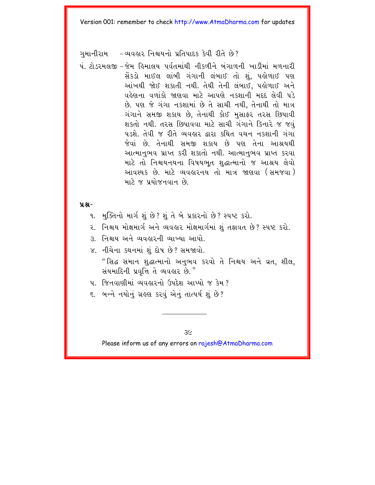ગમાનીરામ – વ્યવહાર નિશ્ચયનો પ્રતિપાદક કેવી રીતે છે?

પં ટોડરમલજી – જેમ હિમાલય પર્વતમાંથી નીકળીને બંગાળની ખાડીમાં મળનારી સેંકડો માઈલ લાંબી ગંગાની લંબાઈ તો શં. પહોળાઈ પણ આંખથી જોઈ શકાતી નથી. તેથી તેની લંબાઈ, પહોળાઈ અને વહેણના વળાંકો જાણવા માટે આપણે નકશાની મદદ લેવી પડે છે. પણ જે ગંગા નકશામાં છે તે સાચી નથી. તેનાથી તો માત્ર ગંગાને સમજી શકાય છે. તેનાથી કોઈ મસાફર તરસ છિપાવી શકતો નથી. તરસ છિપાવવા માટે સાચી ગંગાને કિનારે જ જવં પડશે. તેવી જ રીતે વ્યવહાર દ્વારા કથિત વચન નકશાની ગંગા જેવાં છે. તેનાથી સમજી શકાય છે પણ તેના આશ્રયથી આત્માનભવ પ્રાપ્ત કરી શકાતો નથી. આત્માનભવ પ્રાપ્ત કરવા માટે તો નિશ્ચયનયના વિષયભત શહાત્માનો જ આશ્રય લેવો આવશ્યક છે. માટે વ્યવહારનય તો માત્ર જાણવા (સમજવા) માટે જ પયોજનવાન છે

 $9.8 -$ 

- ૧. મુક્તિનો માર્ગ શું છે? શું તે બે પ્રકારનો છે? સ્પષ્ટ કરો.
- ૨. નિશ્ચય મોક્ષમાર્ગ અને વ્યવહાર મોક્ષમાર્ગમાં શું તફાવત છે? સ્પષ્ટ કરો.
- ૩. નિશ્ચય અને વ્યવહારની વ્યાખ્યા આપો.
- ૪. નીચેના કથનમાં શું દોષ છે? સમજાવો. "સિદ્ધ સમાન શુદ્ધાત્માનો અનુભવ કરવો તે નિશ્ચય અને વ્રત, શીલ, સંયમાદિની પ્રવૃત્તિ તે વ્યવહાર છે."
- <u>4 જિનવાણીમાં વ્યવહારનો ઉપદેશ આપ્યો જ કેમ ?</u>
- ૬. બન્ને નયોનું ગ્રહણ કરવું એનું તાત્પર્ય શું છે?

 $3<sub>6</sub>$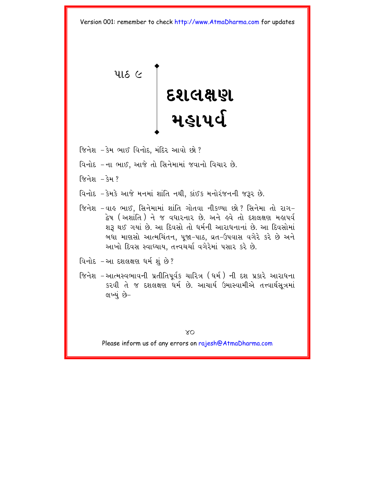<span id="page-44-0"></span> $416<sup>°</sup>$ 

# **dxlÙ`**  <u>મહાપર્વ</u>

- જિનેશ કેમ ભાઈ વિનોદ, મંદિર આવો છો?
- વિનોદ –ના ભાઈ, આજે તો સિનેમામાં જવાનો વિચાર છે.
- જિનેશ કેમ ?
- વિનોદ કેમકે આજે મનમાં શાંતિ નથી. કાંઈક મનોરંજનની જરૂર છે.
- જિનેશ –વાઙ ભાઈ, સિનેમામાં શાંતિ ગોતવા નીકળ્યા છો ? સિનેમા તો રાગ– દ્વેષ (અશાંતિ) ને જ વધારનાર છે. અને હવે તો દશલક્ષણ મહાપર્વ શરૂ થઈ ગયાં છે. આ દિવસો તો ધર્મની આરાધનાનાં છે. આ દિવસોમાં બધા માણસો આત્મચિંતન, પૂજા-પાઠ, વ્રત-ઉપવાસ વગેરે કરે છે અને આખો દિવસ સ્વાધ્યાય. તત્ત્વચર્ચા વગેરેમાં પસાર કરે છે.
- વિનોદ –આ દશલક્ષણ ધર્મશાં છે?
- જિનેશ –આત્મસ્વભાવની પ્રતીતિપર્વક ચારિત્ર (ઘર્મ) ની દશ પ્રકારે આરાધના કરવી તે જ દશલક્ષણ ધર્મ છે. આચાર્ય ઉમાસ્વામીએ તત્ત્વાર્થસૂત્રમાં લખ્યું છે–

 $XQ$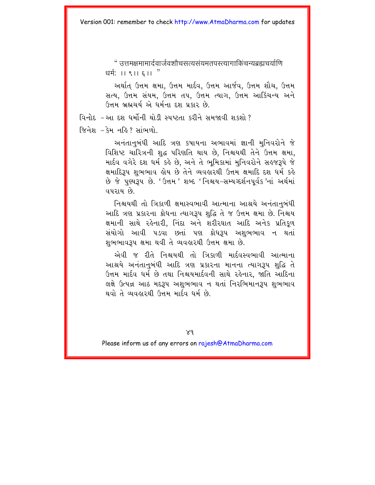" त्त्तनक्षमामार्दवार्जवशौचसत्यसंयमतपस्त्यागाकिंचन्यब्रह्मचर्याणि धर्म:  $|| \cdot || \cdot ||$  ह $|| \cdot$ "

અર્થાત ઉત્તમ ક્ષમા, ઉત્તમ માર્દવ, ઉત્તમ આર્જવ, ઉત્તમ શૌચ, ઉત્તમ સત્ય. ઉત્તમ સંયમ. ઉત્તમ તપ. ઉત્તમ ત્યાગ. ઉત્તમ આર્કિચન્ય અને ઉત્તમ બ્રહ્મચર્યરમે ધર્મના દશ પ્રકાર છે.

વિનોદ –આ દશ ધર્મોની થોડી સ્પષ્ટતા કરીને સમજાવી શકશો?

જિનેશ – કેમ નહિ ? સાંભળો

અનંતાનબંધી આદિ ત્રણ કપાયના અભાવમાં જ્ઞાની મનિવરોને જે વિશિષ્ટ ચારિત્રની શદ્ધ પરિણતિ થાય છે. નિશ્ચયથી તેને ઉત્તમ ક્ષમા. માર્દવ વગેરે દશ ધર્મ કહે છે. અને તે ભમિકામાં મનિવરોને સહજરૂપે જે ક્ષમાદિરૂપ શુભભાવ હોય છે તેને વ્યવહારથી ઉત્તમ ક્ષમાદિ દશ ધર્મ કહે છે જે પુણ્યરૂપ છે. 'ઉત્તમ' શબ્દ 'નિશ્ચય-સમ્યગ્દર્શનપૂર્વક 'નાં અર્થમાં વપરાય છે

નિશ્ચયથી તો ત્રિકાળી ક્ષમાસ્વભાવી આત્માના આશ્રયે અનંતાનુબંધી આદિ ત્રણ પ્રકારના ક્રોધના ત્યાગરૂપ શુદ્ધિ તે જ ઉત્તમ ક્ષમા છે. નિશ્ચય ક્ષમાની સાથે રહેનારી, નિંદા અને શરીરઘાત આદિ અનેક પ્રતિકળ સંયોગો આવી પડવા છતાં પણ ક્રોધરૂપ અશુભભાવ ન થતાં શુભભાવરૂપ ક્ષમા થવી તે વ્યવહારથી ઉત્તમ ક્ષમા છે.

એવી જ રીતે નિશ્ચયથી તો ત્રિકાળી માર્દવસ્વભાવી આત્માના આશ્રયે અનંતાનબંધી આદિ ત્રણ પ્રકારના માનના ત્યાગરૂપ શુદ્ધિ તે ઉત્તમ માર્દવ ધર્મ છે તથા નિશ્ચયમાર્દવની સાથે રહેનાર. જાતિ આદિના લક્ષે ઉત્પન્ન આઠ મદરૂપ અશુભભાવ ન થતાં નિરભિમાનરૂપ શુભભાવ થવો તે વ્યવહારથી ઉત્તમ માર્દવ ધર્મ છે.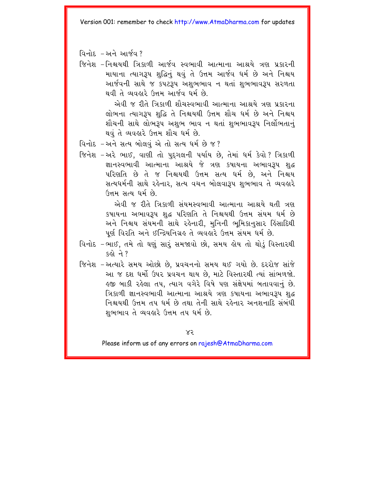- વિનોદ $-$ અને આર્જવ $?$
- જિનેશ –નિશ્ચયથી ત્રિકાળી આર્જવ સ્વભાવી આત્માના આશ્રયે ત્રણ પ્રકારની માયાના ત્યાગરૂપ શહિનું થવું તે ઉત્તમ આર્જવ ધર્મ છે અને નિશ્ચય આર્જવની સાથે જ કપટરૂપ અશભભાવ ન થતાં શુભભાવરૂપ સરળતા  $q$ યવી તે વ્યવહારે ઉત્તમ આર્જવ ધર્મ છે.

એવી જ રીતે ત્રિકાળી શૌચસ્વભાવી આત્માના આશ્રયે ત્રણ પ્રકારના લોભના ત્યાગરૂપ શદ્ધિ તે નિશ્ચયથી ઉત્તમ શૌચ ધર્મ છે અને નિશ્ચય શૌચની સાથે લોભરૂપ અશુભ ભાવ ન થતાં શુભભાવરૂપ નિર્લોભતાનું થવું તે વ્યવહારે ઉત્તમ શૌચ ધર્મ છે.

- વિનોદ –અને સત્ય બોલવું એ તો સત્ય ધર્મ છે જ?
- જિનેશ –અરે ભાઈ, વાણી તો પુદગલની પર્યાય છે, તેમાં ધર્મ કેવો? ત્રિકાળી જ્ઞાનસ્વભાવી આત્માના આશ્રયે જે ત્રણ કપાયના અભાવરૂપ શુદ્ધ  $u$ રિણતિ છે તે જ નિશ્ચયથી ઉત્તમ સત્ય ધર્મ છે, અને નિશ્ચય સત્યધર્મની સાથે રહેનાર, સત્ય વચન બોલવારૂપ શુભભાવ તે વ્યવહારે  $(3\pi)$ મ સત્ય ધર્મ છે.

એવી જ રીતે ત્રિકાળી સંયમસ્વભાવી આત્માના આશ્રયે થતી ત્રણ કપાયના અભાવરૂપ શદ્ધ પરિણતિ તે નિશ્ચયથી ઉત્તમ સંયમ ધર્મ છે અને નિશ્ચય સંયમની સાથે રહેનારી, મુનિની ભુમિકાનુસાર હિંસાદિથી પૂર્ણ વિરતિ અને ઈન્દ્રિયનિગ્રહ તે વ્યવહારે ઉત્તમ સંયમ ધર્મ છે.

- વિનોદ –ભાઈ, તમે તો ઘણું સારં સમજાવો છો, સમય લોય તો થોડું વિસ્તારથી  $s_{6}$  $\partial$   $\partial$  ?
- જિનેશ –અત્યારે સમય ઓછો છે. પ્રવચનનો સમય થઈ ગયો છે. દરરોજ સાંજે આ જ દશ ધર્મો ઉપર પ્રવચન થાય છે. માટે વિસ્તારથી ત્યાં સાંભળજો. કજી બાકી રહેલા તપ, ત્યાગ વગેરે વિષે પણ સંક્ષેપમાં બતાવવાનું છે. ત્રિકાળી જ્ઞાનસ્વભાવી આત્માના આશ્રયે ત્રણ કપાયના અભાવરૂપ શદ્ધ નિશ્ચયથી ઉત્તમ તપ ધર્મ છે તથા તેની સાથે રહેનાર અનશનાદિ સંબંધી  $u$ ભભાવ તે વ્યવહારે ઉત્તમ તપ ધર્મ છે.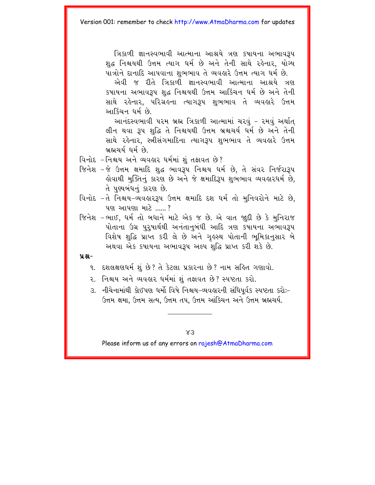ત્રિકાળી જ્ઞાનસ્વભાવી આત્માના આશ્રયે ત્રણ કષાયના અભાવરૂપ શદ્ધ નિશ્ચયથી ઉત્તમ ત્યાગ ધર્મ છે અને તેની સાથે રહેનાર. યોગ્ય પાત્રોને દાનાદિ આપવાના શભભાવ તે વ્યવહારે ઉત્તમ ત્યાગ ધર્મ છે.

એવી જ રીતે ત્રિકાળી જ્ઞાનસ્વભાવી આત્માના આશ્રયે ત્રણ કષાયના અભાવરૂપ શુદ્ધ નિશ્ચયથી ઉત્તમ આકિંચન ધર્મ છે અને તેની સાથે રહેનાર. પરિગ્રહના ત્યાગ3૫ શભભાવ તે વ્યવહારે ઉત્તમ આર્કિંચન ધર્મ છે.

આનંદસ્વભાવી પરમ બ્રહ્મ ત્રિકાળી આત્મામાં ચરવું – રમવું અર્થાત લીન થવા રૂપ શુદ્ધિ તે નિશ્ચયથી ઉત્તમ બ્રશ્ચચર્ય ધર્મ છે અને તેની સાથે રહેનાર, સ્ત્રીસંગમાદિના ત્યાગરૂપ શુભભાવ તે વ્યવહારે ઉત્તમ બ્રહ્મચર્ય ધર્મ છે.

- વિનોદ નિશ્ચય અને વ્યવહાર ધર્મમાં શું તજ્ઞવત છે?
- જિનેશ –જે ઉત્તમ ક્ષમાદિ શુદ્ધ ભાવરૂપ નિશ્ચય ધર્મ છે, તે સંવર નિર્જરારૂપ કોવાથી મુક્તિનું કારણ છે અને જે ક્ષમાદિરૂપ શુભભાવ વ્યવહારધર્મ છે, તે પુણ્યબંધનું કારણ છે.
- વિનોદ –તે નિશ્ચય-વ્યવહારરૂપ ઉત્તમ ક્ષમાદિ દશ ધર્મ તો મુનિવરોને માટે છે, પણ આપણા માટે  $^2$
- જિનેશ –ભાઈ. ધર્મ તો બધાને માટે એક જ છે. એ વાત જાદી છે કે મનિરાજ પોતાના ઉગ્ર પરપાર્થથી અનંતાનબંધી આદિ ત્રણ કપાયના અભાવ $3$ પ વિશેષ શુદ્ધિ પ્રાપ્ત કરી લે છે અને ગુરુસ્થ પોતાની ભુમિકાનુસાર બે અથવા એક કષાયના અભાવરૂપ અલ્પ શહિ પ્રાપ્ત કરી શકે છે.

### **ÝÆ-**

- ૧. દશલક્ષણધર્મશં છે? તે કેટલા પ્રકારના છે? નામ સહિત ગણાવો.
- ૨. નિશ્ચય અને વ્યવહાર ધર્મમાં શં તજ્ઞવત છે? સ્પષ્ટતા કરો.
- 3. નીચેનામાંથી કોઈપણ ધર્મો વિષે નિશ્ચય-વ્યવહારની સંધિપર્વક સ્પષ્ટતા કરોઃ-ઉત્તમ ક્ષમા. ઉત્તમ સત્ય. ઉત્તમ તપ. ઉત્તમ આંકિચન અને ઉત્તમ બ્રહ્મચર્ય.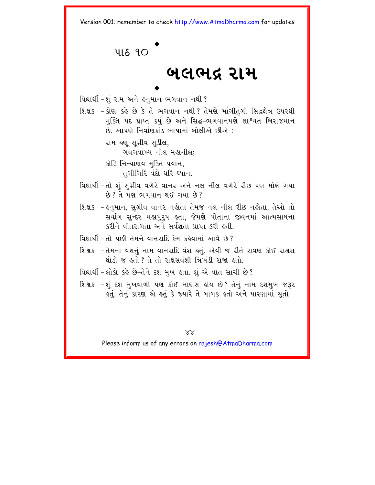<span id="page-48-0"></span>

વિદ્યાર્થી – શુંરામ અને હનુમાન ભગવાન નથી ?

શિક્ષક - કોણ કહે છે કે તે ભગવાન નથી? તેમણે માંગીતુંગી સિદ્ધક્ષેત્ર ઉપરથી મક્તિ પદ પ્રાપ્ત કર્ય છે અને સિદ્ધ-ભગવાનપણે શાશ્વત બિરાજમાન .<br>છે. આપણે નિર્વાણકાંડ ભાષામાં બોલીએ છીએ :–

> રામ લ્ણુ સુગ્રીવ સુડીલ, ગવગવાખ્ય નીલ મહાનીલ;

કોડિ નિન્યાણવ મુક્તિ પયાન,  $di$ ગીગિરિ વંદો ધરિ ધ્યાન.

- વિદ્યાર્થી –તો શું સુગ્રીવ વગેરે વાનર અને નલ નીલ વગેરે રીંછ પણ મોક્ષે ગયા  $\hat{\kappa}$  ?  $\hat{\kappa}$  ye Golden as an extra  $\hat{\kappa}$  ?
- શિક્ષક હનુમાન, સુગ્રીવ વાનર નહોતા તેમજ નલ નીલ રીછ નહોતા. તેઓ તો સર્વાગ સન્દર મહાપુરૂષ હતા, જેમણે પોતાના જીવનમાં આત્મસાધના કરીને વીતરાગતા અને સર્વજ્ઞતા પ્રાપ્ત કરી હતી.
- વિદ્યાર્થી તો પછી તેમને વાનરાદિ કેમ કહેવામાં આવે છે?
- શિક્ષક –તેમના વંશનું નામ વાનરાદિ વંશ કર્તુ. એવી જ રીતે રાવણ કોઈ રાક્ષસ  $20.3$   $\alpha$  sd. ? d d avarial buis and sd.
- વિદ્યાર્થી –લોકો કહે છે–તેને દશ મુખ હતા. શું એ વાત સાચી છે?
- શિક્ષક –શું દશ મુખવાળો પણ કોઈ માણસ હોય છે? તેનું નામ દશમુખ જરૂર ક્ત. તેનું કારણ એ ક્તું કે જ્યારે તે બાળક કરતો અને પારણામાં સતો

 $XX$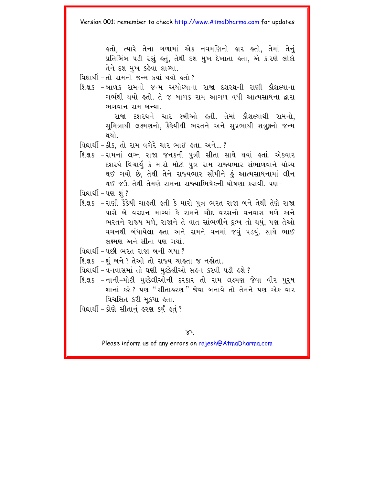કુતો. ત્યારે તેના ગળામાં એક નવમણિનો ક્રાર કુતો. તેમાં તેનં પ્રતિબિંબ ૫ડી રહ્યં કતું. તેથી દશ મખ દેખાતા કતા. એ કારણે લોકો તેને દશ મખ કહેવા લાગ્યા.

વિદ્યાર્થી - તો રામનો જન્મ કર્યા થયો હતો?

શિક્ષક -બાળક રામનો જન્મ અયોધ્યાના રાજા દશરથની રાણી કૌશલ્યાના ગર્ભથી થયો હતો. તે જ બાળક રામ આગળ વધી આત્મસાધના દ્વારા ભગવાન રામ બન્યા.

> રાજા દશરથને ચાર સ્ત્રીઓ હતી. તેમાં કૌશલ્યાથી રામનો, સુમિત્રાથી લક્ષ્મણનો, કૈકેયીથી ભરતને અને સુપ્રભાથી શત્રુક્ષનો જન્મ થયો

વિદ્યાર્થી - ઠીક. તો રામ વગેરે ચાર ભાઈ હતા. અને...?

શિક્ષક -રામનાં લગ્ન રાજા જનકની પુત્રી સીતા સાથે થયાં હતાં. એકવાર દશરથે વિચાર્યું કે મારો મોટો પુત્ર રામ રાજ્યભાર સંભાળવાને યોગ્ય થઈ ગયો છે, તેથી તેને રાજ્યભાર સોંપીને કું આત્મસાધનામાં લીન થઈ જઉ તેથી તેમણે રામના રાજ્યાભિષેકની ઘોષણા કરાવી. પણ-

વિદ્યાર્થી - પણ શું ?

શિક્ષક -રાણી કૈકેયી ચાહતી હતી કે મારો પુત્ર ભરત રાજા બને તેથી તેણે રાજા પાસે બે વરદાન માગ્યાં કે રામને ચૌદ વરસનો વનવાસ મળે અને ભરતને રાજ્ય મળે, રાજાને તે વાત સાંભળીને દુઃખ તો થયું, પણ તેઓ વચનથી બંધાયેલા હતા અને રામને વનમાં જવું પડયું. સાથે ભાઈ લક્ષ્મણ અને સીતા પણ ગયાં

વિદ્યાર્થી – પછી ભરત રાજા બની ગયા ?

શિક્ષક -શું બને ? તેઓ તો રાજ્ય ચાહતા જ નહોતા.

- વિદ્યાર્થી-વનવાસમાં તો ઘણી મુશ્કેલીઓ સહન કરવી પડી હશે?
- શિક્ષક –નાની–મોટી મુશ્કેલીઓની દરકાર તો રામ લક્ષ્મણ જેવા વીર પુરૃષ શાનાં કરે? પણ "સીતાહરણ" જેવા બનાવે તો તેમને પણ એક વાર વિચલિત કરી મુકયા હતા.
- વિદ્યાર્થી કોણે સીતાનું હરણ કર્યું હતું?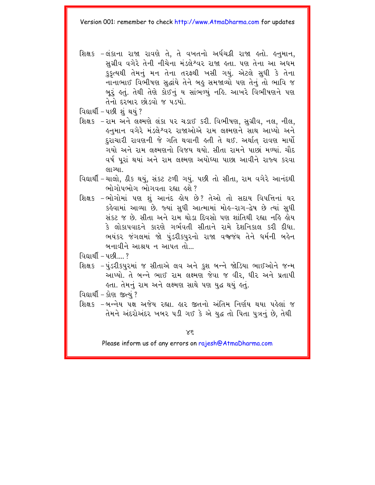- શિક્ષક -લંકાના રાજા રાવણે તે, તે વખતનો અર્ધચક્રી રાજા હતો. હનુમાન, સગ્રીવ વગેરે તેની નીચેના મંડલેશ્વર રાજા હતા. પણ તેના આ અધમ કુકૃત્યથી તેમનું મન તેના તરફથી ખસી ગયું. એટલે સુધી કે તેના નાનાભાઈ વિભીષણ સદ્ધાંયે તેને બહુ સમજાવ્યો પણ તેનું તો ભાવિ જ બુરૂં કર્તુ. તેથી તેણે કોઈનું ય સાંભળ્યું નહિ. આખરે વિભીષણને પણ તેનો દરબાર છોડવો જ પડયો.
- વિદ્યાર્થી પછી શું થયું ?
- શિક્ષક -રામ અને લક્ષ્મણે લંકા પર ચડાઈ કરી. વિભીષણ, સુગ્રીવ, નલ, નીલ, ઙ્નમાન વગેરે મંડલેશ્વર રાજાઓએ રામ લક્ષ્મણને સાથ આપ્યો અન<mark>ે</mark> દરાચારી રાવણની જે ગતિ થવાની હતી તે થઈ. અર્થાત રાવણ માર્યો ગયો અને રામ લક્ષ્મણનો વિજય થયો. સીતા રામને પાછાં મળ્યાં. ચૌદ વર્ષ પુરાં થયાં અને રામ લક્ષ્મણ અયોધ્યા પાછા આવીને રાજ્ય કરવા લાગ્યા.
- વિદ્યાર્થી ચાલો, ઠીક થયું, સંકટ ટળી ગયું. પછી તો સીતા, રામ વગેરે આનંદથી ભોગોપભોગ ભોગવતા રહ્યા હશે?
- શિક્ષક -ભોગોમાં પણ શું આનંદ ક્રોય છે? તેઓ તો સદાય વિપત્તિનાં ઘર કહેવામાં આવ્યા છે. જ્યાં સધી આત્મામાં મોહ–રાગ–દ્વેષ છે ત્યાં સધી સંકટ જ છે. સીતા અને રામ થોડા દિવસો પણ શાંતિથી રહ્યા નહિ હોય કે લોકાપવાદને કારણે ગર્ભવતી સીતાને રામે દેશનિકાલ કરી દીધા ભયંકર જંગલમાં જો પુંડરીકપુરનો રાજા વજ્જંઘ તેને ધર્મની બહેન બનાવીને આશ્રય ન આપત તો...

 $G$ ยายโ $-$ นะขึ่

શિક્ષક -પુંડરીકપુરમાં જ સીતાએ લવ અને કુશ બન્ને જોડિયા ભાઈઓને જન્મ આપ્યો. તે બન્ને ભાઈ રામ લક્ષ્મણ જેવા જ વીર. ધીર અને પ્રતાપી હતા. તેમનું રામ અને લક્ષ્મણ સાથે પણ યદ્ધ થયું હતું.

<u>વિદ્યાર્થી – કોણ જીત્યં?</u>

શિક્ષક –બન્નેય ૫ક્ષ અજેય રહ્યા. હાર જીતનો અંતિમ નિર્ણય થયા પહેલાં જ તેમને અંદરોઅંદર ખબર ૫ડી ગઈ કે એ યુદ્ધ તો પિતા પુત્રનું છે, તેથી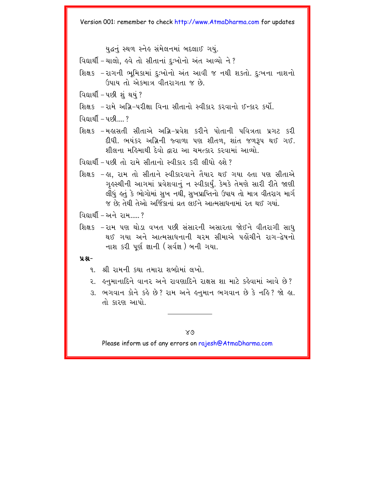યદ્ધનં સ્થળ સ્નેહ સંમેલનમાં બદલાઈ ગયં.

વિદ્યાર્થી – ચાલો, હવે તો સીતાનાં દુઃખોનો અંત આવ્યો ને ?

શિક્ષક -રાગની ભમિકામાં દઃખોનો અંત આવી જ નથી શકતો. દુઃખના નાશનો ઉપાય તો એકમાત્ર વીતરાગતા જ છે.

વિદ્યાર્થી - પછી શું થયું ?

શિક્ષક -રામે અગ્રિ-પરીક્ષા વિના સીતાનો સ્વીકાર કરવાનો ઈન્કાર કર્યો.

 $Q = \sqrt{2}$ 

શિક્ષક -મહાસતી સીતાએ અગ્રિ-પ્રવેશ કરીને પોતાની પવિત્રતા પ્રગટ કરી દીધી. ભયંકર અગ્નિની જ્વાળા પણ શીતળ. શાંત જળરૂપ થઈ ગઈ. શીલના મહિમાથી દેવો દ્વારા આ ચમત્કાર કરવામાં આવ્યો.

 $\Omega$ आर्थी-पछी तो गर्भ सीतानो स्वीक्षर करी लीधो छशे?

શિક્ષક –હા, રામ તો સીતાને સ્વીકારવાને તૈયાર થઈ ગયા હતા પણ સીતાએ ગુલ્સ્થીની આગમાં પ્રવેશવાનું ન સ્વીકાર્યું. કેમકે તેમણે સારી રીતે જાણી લીધું હતું કે ભોગોમાં સુખ નથી, સુખપ્રાપ્તિનો ઉપાય તો માત્ર વીતરાગ માર્ગ જ છે: તેથી તેઓ અર્જિકાનાં વ્રત લઈને આત્મસાધનામાં રત થઈ ગયાં.

 $\alpha$  and  $\alpha$  -  $\alpha$  -  $\alpha$  -  $\alpha$ 

શિક્ષક - રામ પણ થોડા વખત પછી સંસારની અસારતા જોઈને વીતરાગી સાધ થઈ ગયા અને આત્મસાધનાની ચરમ સીમાએ પહોંચીને રાગ-દેષનો નાશ કરી પર્ણ જ્ઞાની (સર્વજ્ઞ) બની ગયા.

### $9.8 -$

- ૧ શ્રી રામની કથા તમારા શબ્દોમાં લખો
- ૨. ઙનમાનાદિને વાનર અને રાવણાદિને રાક્ષસ શા માટે કહેવામાં આવે છે?
- 3. ભગવાન કોને કહે છે? રામ અને હનમાન ભગવાન છે કે નહિ? જો હા. તો કારણ આપો

 $X_{\mathcal{O}}$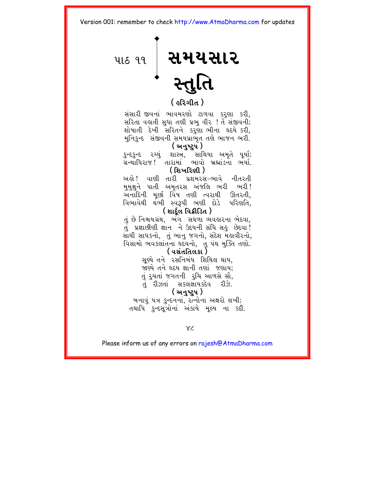<span id="page-52-0"></span>

### ( ફરિગીત <sup>)</sup>

સંસારી જીવનાં ભાવમરણો ટાળવા કરણા કરી. સરિતા વહાતી સધા તણી પ્રભ વીર ! તેં સંજીવની; શોષાતી દેખી સરિતને કરણાંભીના હૃદયે કરી. મુનિકુન્દ સંજીવની સમયપ્રાભૃત તણે ભાજન ભરી. ( અનષ્ટર્પ )

કુન્દકુન્દ ૨ચ્યું શાસ્ત્ર, સાથિયા અમૃતે પર્યા; ગ્રન્થાધિરાજ ! તારામાં ભાવો બ્રહ્માંડના ભર્યા. <u>( શિખરિણી )</u>

અલ્રો! વાણી તારી પ્રશમરસ-ભાવે નીતરતી મુમક્ષને પાતી અમૃતરસ અંજલિ ભરી ભરી! અનાદિની મછી વિષ તણી ત્વરાથી ઊતરતી. વિભાવેથી થંભી સ્વરૂપી ભણી દોડે પરિણતિ.

### (શાર્દલ વિક્રીડિત)

તું છે નિશ્ચયગ્રંથ, ભંગ સઘળા વ્યવહારના ભેદવા, તું પ્રજ્ઞાછીણી જ્ઞાન ને ઉદયની સંધિ સહુ છેદવા! સાથી સાધકનો, તું ભાનુ જગનો, સંદેશ મહાવીરનો, વિસામો ભવકલાંતના દૃદયનો, તુ પંથ મુક્તિ તણો.

### ( વસંતતિલકા )

સુચ્યે તને રસનિબંધ શિથિલ થાય. જાણ્યે તને હૃદય જ્ઞાની તણાં જણાય; તું રૂચતાં જગતની રૂચિ આળસે સૌ, તું રીઝતાં સકલજ્ઞાયકદેવ રીઝે.

### ( અનુષ્ટપ )

બનાવં ૫ત્ર કન્દનનાં. રત્નોના અક્ષરો લખી; તથાપિ કુન્દસત્રોનાં અંકાયે મલ્ય ના કદી.

 $X<sub>1</sub>$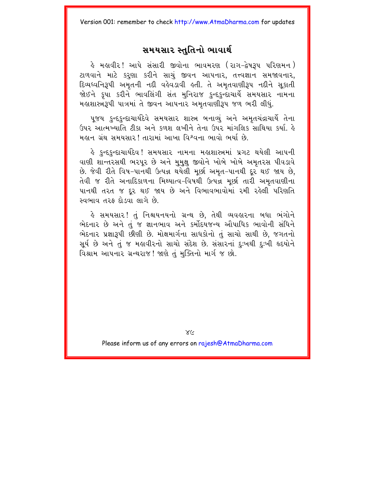### સમયસાર સ્તુતિનો ભાવાર્થ

હે મહાવીર! આપે સંસારી જીવોના ભાવમરણ (રાગ−દ્વેષરૂપ પરિણમન) ટાળવાને માટે કરણા કરીને સાચં જીવન આપનાર, તત્ત્વજ્ઞાન સમજાવનાર, દિવ્યધ્વનિરૂપી અમતની નદી વહેવડાવી હતી. તે અમતવાણીરૂપ નદીને સકાતી જોઈને કૃપા કરીને ભાવલિંગી સંત મુનિરાજ કુન્દકુન્દાચાર્યે સમયસાર નામના મહાશાસ્ત્રરૂપી પાત્રમાં તે જીવન આપનાર અમૃતવાણીરૂપ જળ ભરી લીધું.

પુજય કુન્દકુન્દાચાર્યદેવે સમયસાર શાસ્ત્ર બનાવ્યું અને અમૃતચંદ્રાચાર્યે તેના ઉપર આત્મખ્યાતિ ટીકા અને કળશ લખીને તેના ઉપર માંગલિક સાથિયા કર્યા હૈ મહાન ગ્રંથ સમયસાર! તારામાં આખા વિશ્વના ભાવો ભર્યા છે.

કે કન્દકન્દાચાર્યદેવ ! સમયસાર નામના મ<mark>લાશાસ્ત્રમાં પ્રગટ થયેલી આપની</mark> વાણી શાન્તરસથી ભરપૂર છે અને મુમુક્ષુ જીવોને ખોબે ખોબે અમૃતરસ પીવડાવે છે. જેવી રીતે વિષ-પાનથી ઉત્પન્ન થયેલી મૂર્છા અમૃત-પાનથી દૂર થઈ જાય છે, તેવી જ રીતે અનાદિકાળના મિથ્યાત્વ-વિષથી ઉત્પન્ન મછાં તારી અમતવાણીના પાનથી તરત જ દૂર થઈ જાય છે અને વિભાવભાવોમાં રમી રહેલી પરિણતિ <u>સ્વભાવ તરફ દોડવા લાગે છે.</u>

હે સમયસાર! તું નિશ્ચયનયનો ગ્રન્થ છે. તેથી વ્યવહારના બધા ભંગોન<mark>ે</mark> ભેદનાર છે અને તું જ જ્ઞાનભાવ અને કર્મોદયજન્ય ઔપાધિક ભાવોની સંધિને ભેદનાર પ્રજ્ઞારૂપી છીણી છે. મોક્ષમાર્ગના સાધકોનો તું સાચો સાથી છે, જગતનો સૂર્ય છે અને તું જ મહાવીરનો સાચો સંદેશ છે. સંસારનાં દુઃખથી દુઃખી હૃદયોને વિશ્રામ આપનાર ગ્રન્થરાજ! જાણે તું મક્તિનો માર્ગ જ છો.

 $X($